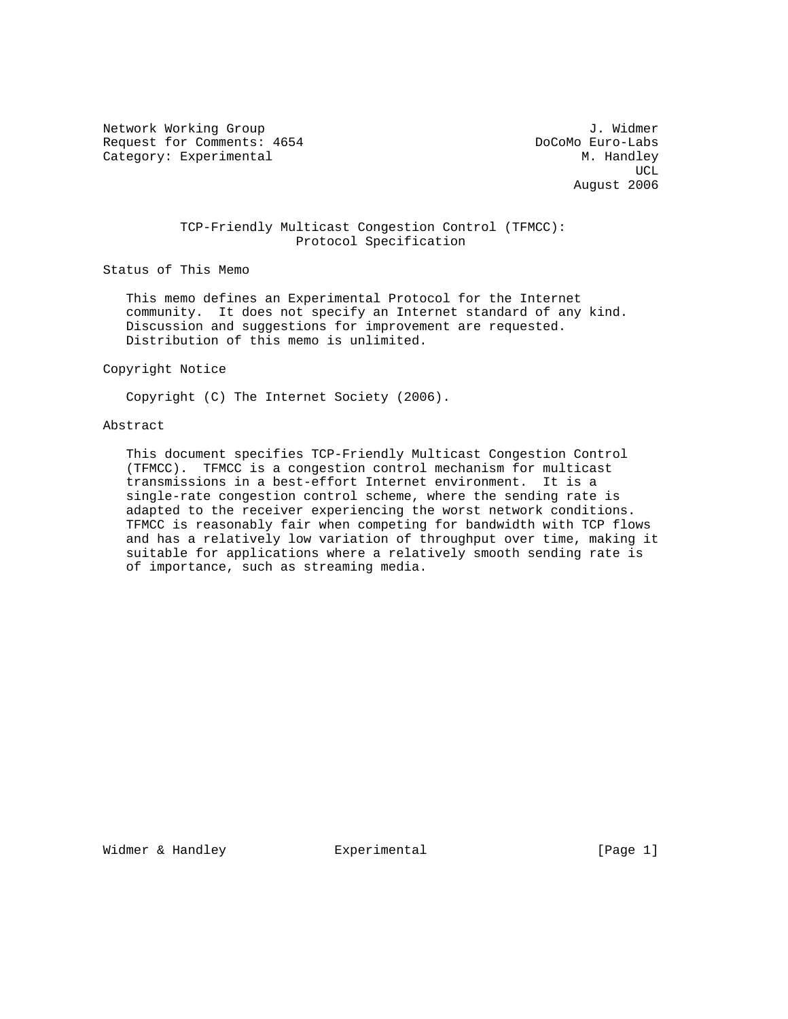Network Working Group 3. Widmer J. Widmer Request for Comments: 4654 DoCoMo Euro-Labs Category: Experimental M. Handley

 $UCL$ August 2006

## TCP-Friendly Multicast Congestion Control (TFMCC): Protocol Specification

Status of This Memo

 This memo defines an Experimental Protocol for the Internet community. It does not specify an Internet standard of any kind. Discussion and suggestions for improvement are requested. Distribution of this memo is unlimited.

Copyright Notice

Copyright (C) The Internet Society (2006).

## Abstract

 This document specifies TCP-Friendly Multicast Congestion Control (TFMCC). TFMCC is a congestion control mechanism for multicast transmissions in a best-effort Internet environment. It is a single-rate congestion control scheme, where the sending rate is adapted to the receiver experiencing the worst network conditions. TFMCC is reasonably fair when competing for bandwidth with TCP flows and has a relatively low variation of throughput over time, making it suitable for applications where a relatively smooth sending rate is of importance, such as streaming media.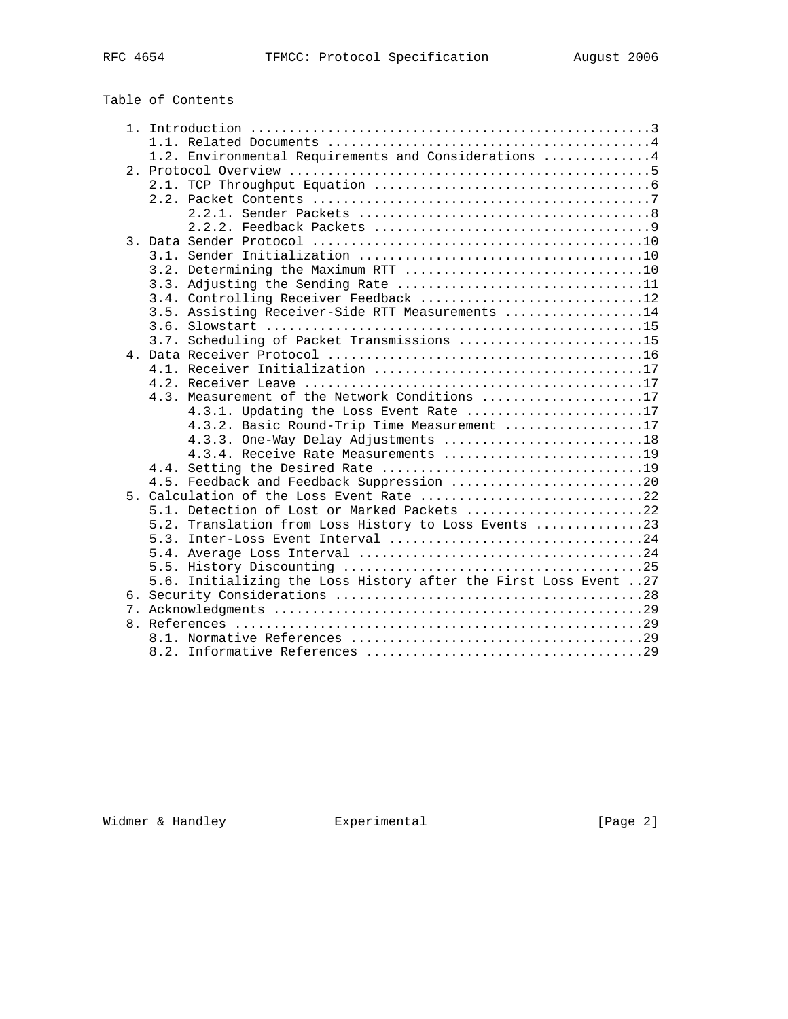| Table of Contents |  |
|-------------------|--|
|-------------------|--|

|  | 1.2. Environmental Requirements and Considerations 4             |
|--|------------------------------------------------------------------|
|  |                                                                  |
|  |                                                                  |
|  |                                                                  |
|  |                                                                  |
|  |                                                                  |
|  |                                                                  |
|  |                                                                  |
|  |                                                                  |
|  | 3.3. Adjusting the Sending Rate 11                               |
|  | 3.4. Controlling Receiver Feedback 12                            |
|  | 3.5. Assisting Receiver-Side RTT Measurements 14                 |
|  |                                                                  |
|  | 3.7. Scheduling of Packet Transmissions 15                       |
|  |                                                                  |
|  |                                                                  |
|  |                                                                  |
|  | 4.3. Measurement of the Network Conditions 17                    |
|  | 4.3.1. Updating the Loss Event Rate 17                           |
|  | 4.3.2. Basic Round-Trip Time Measurement 17                      |
|  | 4.3.3. One-Way Delay Adjustments 18                              |
|  | 4.3.4. Receive Rate Measurements 19                              |
|  |                                                                  |
|  | 4.5. Feedback and Feedback Suppression 20                        |
|  | 5. Calculation of the Loss Event Rate 22                         |
|  | 5.1. Detection of Lost or Marked Packets 22                      |
|  | 5.2. Translation from Loss History to Loss Events 23             |
|  | Inter-Loss Event Interval 24<br>5.3.                             |
|  |                                                                  |
|  |                                                                  |
|  | 5.6. Initializing the Loss History after the First Loss Event 27 |
|  |                                                                  |
|  |                                                                  |
|  |                                                                  |
|  |                                                                  |
|  |                                                                  |
|  |                                                                  |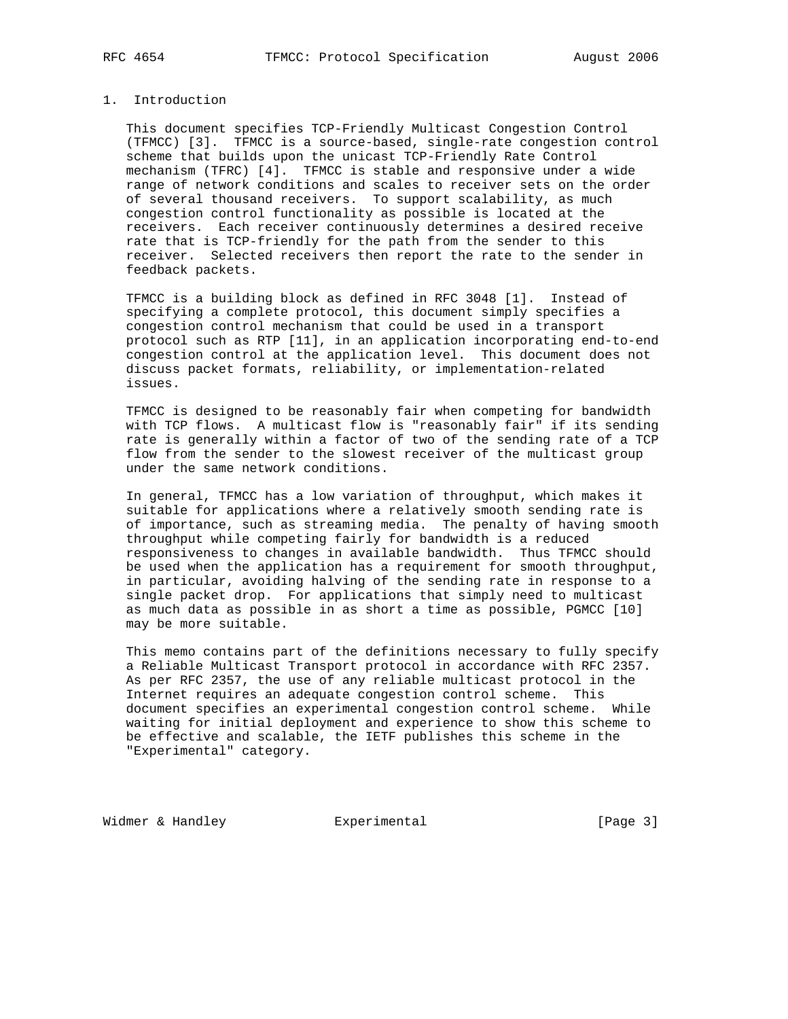## 1. Introduction

 This document specifies TCP-Friendly Multicast Congestion Control (TFMCC) [3]. TFMCC is a source-based, single-rate congestion control scheme that builds upon the unicast TCP-Friendly Rate Control mechanism (TFRC) [4]. TFMCC is stable and responsive under a wide range of network conditions and scales to receiver sets on the order of several thousand receivers. To support scalability, as much congestion control functionality as possible is located at the receivers. Each receiver continuously determines a desired receive rate that is TCP-friendly for the path from the sender to this receiver. Selected receivers then report the rate to the sender in feedback packets.

 TFMCC is a building block as defined in RFC 3048 [1]. Instead of specifying a complete protocol, this document simply specifies a congestion control mechanism that could be used in a transport protocol such as RTP [11], in an application incorporating end-to-end congestion control at the application level. This document does not discuss packet formats, reliability, or implementation-related issues.

 TFMCC is designed to be reasonably fair when competing for bandwidth with TCP flows. A multicast flow is "reasonably fair" if its sending rate is generally within a factor of two of the sending rate of a TCP flow from the sender to the slowest receiver of the multicast group under the same network conditions.

 In general, TFMCC has a low variation of throughput, which makes it suitable for applications where a relatively smooth sending rate is of importance, such as streaming media. The penalty of having smooth throughput while competing fairly for bandwidth is a reduced responsiveness to changes in available bandwidth. Thus TFMCC should be used when the application has a requirement for smooth throughput, in particular, avoiding halving of the sending rate in response to a single packet drop. For applications that simply need to multicast as much data as possible in as short a time as possible, PGMCC [10] may be more suitable.

 This memo contains part of the definitions necessary to fully specify a Reliable Multicast Transport protocol in accordance with RFC 2357. As per RFC 2357, the use of any reliable multicast protocol in the Internet requires an adequate congestion control scheme. This document specifies an experimental congestion control scheme. While waiting for initial deployment and experience to show this scheme to be effective and scalable, the IETF publishes this scheme in the "Experimental" category.

Widmer & Handley  $\Box$  Experimental  $\Box$  [Page 3]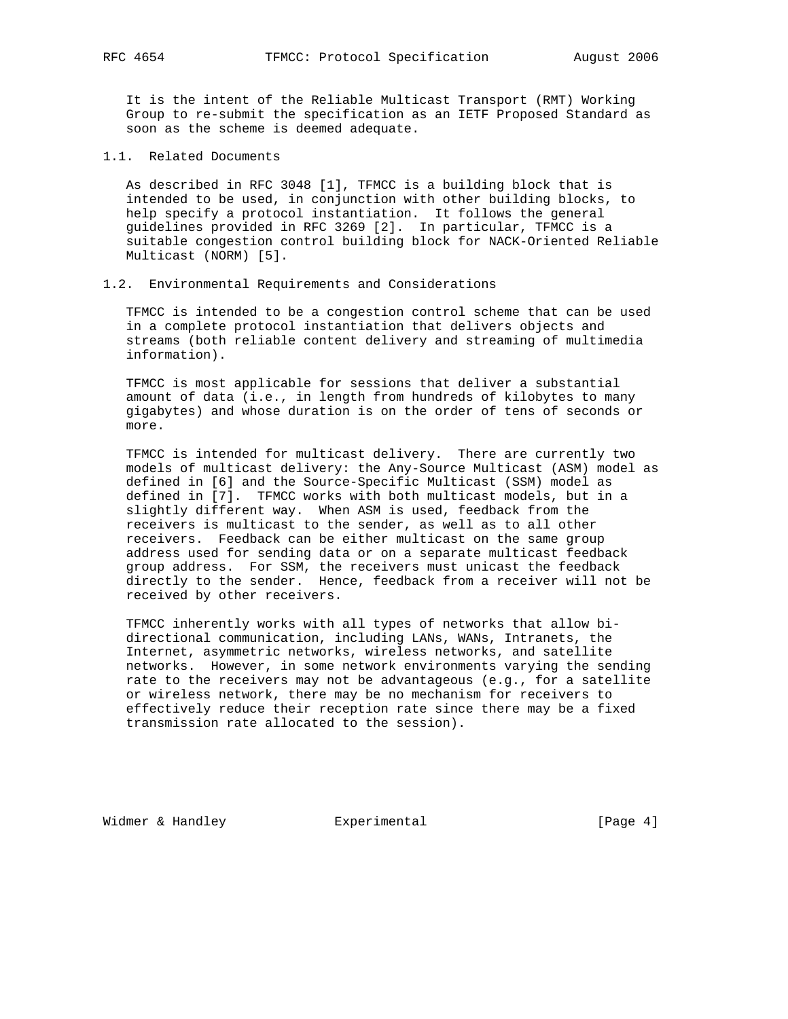It is the intent of the Reliable Multicast Transport (RMT) Working Group to re-submit the specification as an IETF Proposed Standard as soon as the scheme is deemed adequate.

1.1. Related Documents

 As described in RFC 3048 [1], TFMCC is a building block that is intended to be used, in conjunction with other building blocks, to help specify a protocol instantiation. It follows the general guidelines provided in RFC 3269 [2]. In particular, TFMCC is a suitable congestion control building block for NACK-Oriented Reliable Multicast (NORM) [5].

#### 1.2. Environmental Requirements and Considerations

 TFMCC is intended to be a congestion control scheme that can be used in a complete protocol instantiation that delivers objects and streams (both reliable content delivery and streaming of multimedia information).

 TFMCC is most applicable for sessions that deliver a substantial amount of data (i.e., in length from hundreds of kilobytes to many gigabytes) and whose duration is on the order of tens of seconds or more.

 TFMCC is intended for multicast delivery. There are currently two models of multicast delivery: the Any-Source Multicast (ASM) model as defined in [6] and the Source-Specific Multicast (SSM) model as defined in [7]. TFMCC works with both multicast models, but in a slightly different way. When ASM is used, feedback from the receivers is multicast to the sender, as well as to all other receivers. Feedback can be either multicast on the same group address used for sending data or on a separate multicast feedback group address. For SSM, the receivers must unicast the feedback directly to the sender. Hence, feedback from a receiver will not be received by other receivers.

 TFMCC inherently works with all types of networks that allow bi directional communication, including LANs, WANs, Intranets, the Internet, asymmetric networks, wireless networks, and satellite networks. However, in some network environments varying the sending rate to the receivers may not be advantageous (e.g., for a satellite or wireless network, there may be no mechanism for receivers to effectively reduce their reception rate since there may be a fixed transmission rate allocated to the session).

Widmer & Handley **Experimental** (Page 4)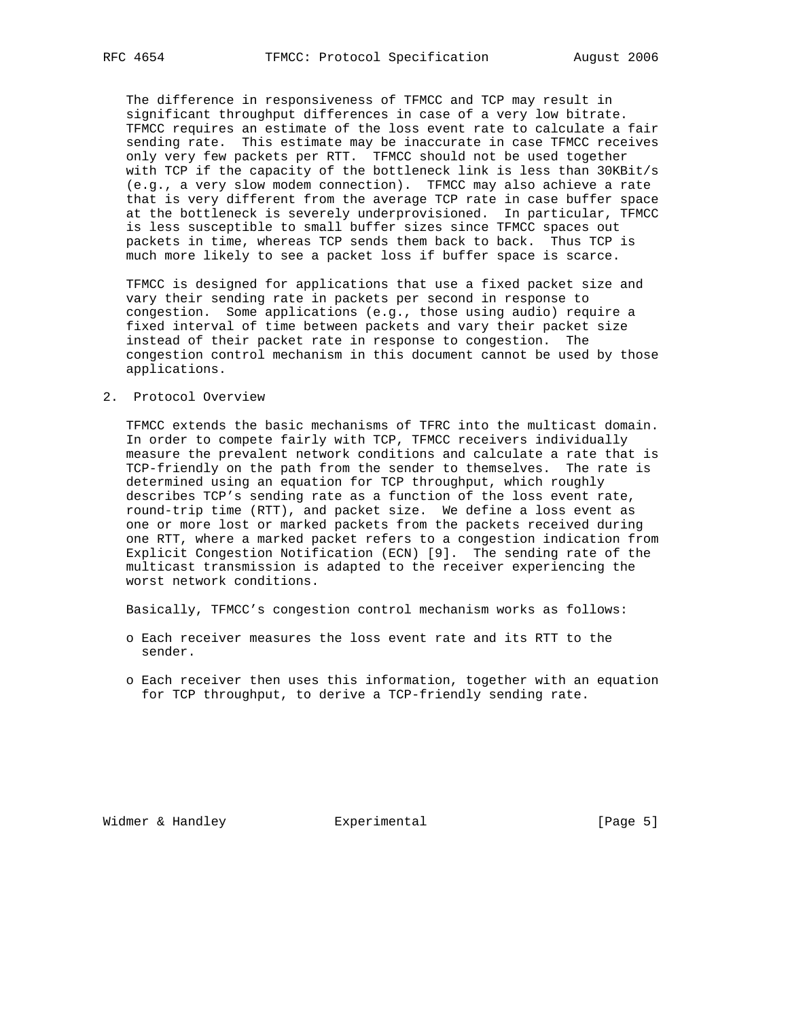The difference in responsiveness of TFMCC and TCP may result in significant throughput differences in case of a very low bitrate. TFMCC requires an estimate of the loss event rate to calculate a fair sending rate. This estimate may be inaccurate in case TFMCC receives only very few packets per RTT. TFMCC should not be used together with TCP if the capacity of the bottleneck link is less than 30KBit/s (e.g., a very slow modem connection). TFMCC may also achieve a rate that is very different from the average TCP rate in case buffer space at the bottleneck is severely underprovisioned. In particular, TFMCC is less susceptible to small buffer sizes since TFMCC spaces out packets in time, whereas TCP sends them back to back. Thus TCP is much more likely to see a packet loss if buffer space is scarce.

 TFMCC is designed for applications that use a fixed packet size and vary their sending rate in packets per second in response to congestion. Some applications (e.g., those using audio) require a fixed interval of time between packets and vary their packet size instead of their packet rate in response to congestion. The congestion control mechanism in this document cannot be used by those applications.

#### 2. Protocol Overview

 TFMCC extends the basic mechanisms of TFRC into the multicast domain. In order to compete fairly with TCP, TFMCC receivers individually measure the prevalent network conditions and calculate a rate that is TCP-friendly on the path from the sender to themselves. The rate is determined using an equation for TCP throughput, which roughly describes TCP's sending rate as a function of the loss event rate, round-trip time (RTT), and packet size. We define a loss event as one or more lost or marked packets from the packets received during one RTT, where a marked packet refers to a congestion indication from Explicit Congestion Notification (ECN) [9]. The sending rate of the multicast transmission is adapted to the receiver experiencing the worst network conditions.

Basically, TFMCC's congestion control mechanism works as follows:

- o Each receiver measures the loss event rate and its RTT to the sender.
- o Each receiver then uses this information, together with an equation for TCP throughput, to derive a TCP-friendly sending rate.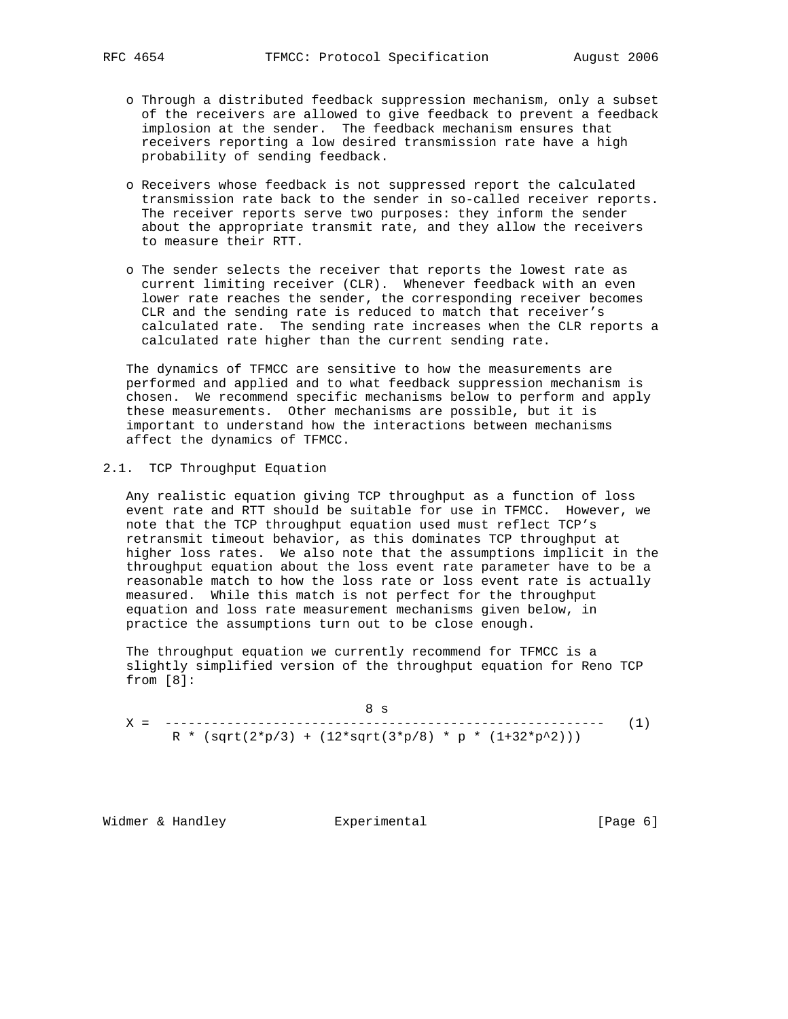- o Through a distributed feedback suppression mechanism, only a subset of the receivers are allowed to give feedback to prevent a feedback implosion at the sender. The feedback mechanism ensures that receivers reporting a low desired transmission rate have a high probability of sending feedback.
- o Receivers whose feedback is not suppressed report the calculated transmission rate back to the sender in so-called receiver reports. The receiver reports serve two purposes: they inform the sender about the appropriate transmit rate, and they allow the receivers to measure their RTT.
- o The sender selects the receiver that reports the lowest rate as current limiting receiver (CLR). Whenever feedback with an even lower rate reaches the sender, the corresponding receiver becomes CLR and the sending rate is reduced to match that receiver's calculated rate. The sending rate increases when the CLR reports a calculated rate higher than the current sending rate.

 The dynamics of TFMCC are sensitive to how the measurements are performed and applied and to what feedback suppression mechanism is chosen. We recommend specific mechanisms below to perform and apply these measurements. Other mechanisms are possible, but it is important to understand how the interactions between mechanisms affect the dynamics of TFMCC.

# 2.1. TCP Throughput Equation

 Any realistic equation giving TCP throughput as a function of loss event rate and RTT should be suitable for use in TFMCC. However, we note that the TCP throughput equation used must reflect TCP's retransmit timeout behavior, as this dominates TCP throughput at higher loss rates. We also note that the assumptions implicit in the throughput equation about the loss event rate parameter have to be a reasonable match to how the loss rate or loss event rate is actually measured. While this match is not perfect for the throughput equation and loss rate measurement mechanisms given below, in practice the assumptions turn out to be close enough.

 The throughput equation we currently recommend for TFMCC is a slightly simplified version of the throughput equation for Reno TCP from [8]:

8 s

 X = --------------------------------------------------------- (1)  $R * (sqrt(2*p/3) + (12*sqrt(3*p/8) * p * (1+32*p^2)))$ 

Widmer & Handley **Experimental** (Page 6)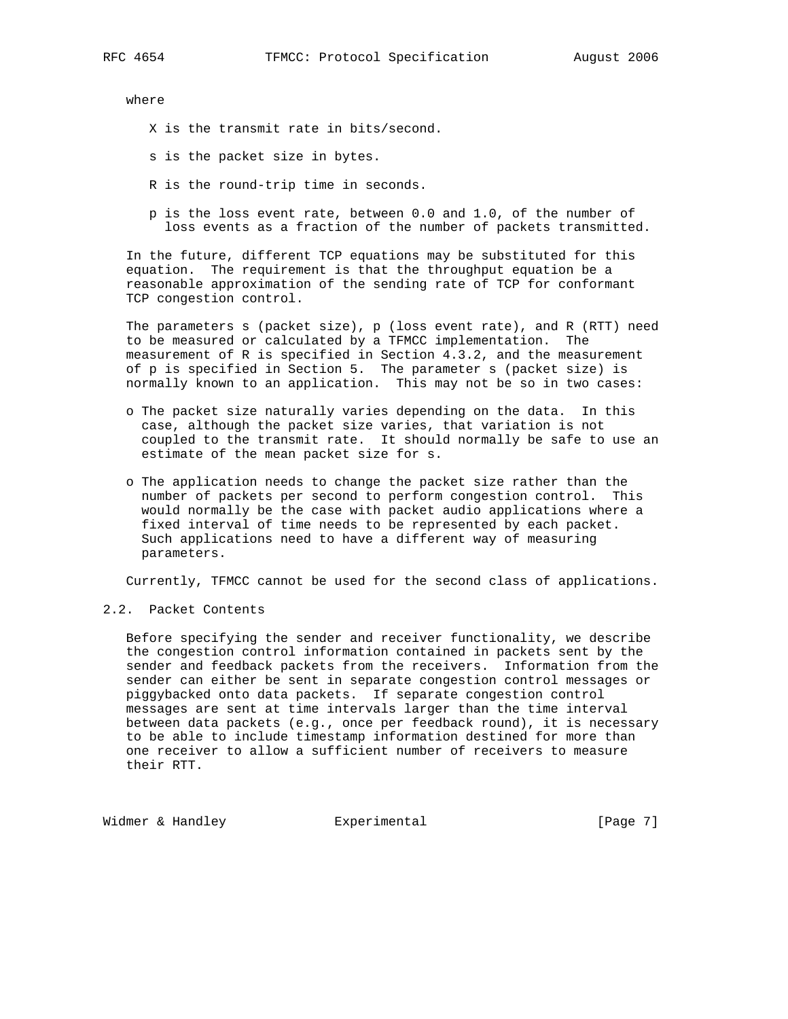where

- X is the transmit rate in bits/second.
- s is the packet size in bytes.
- R is the round-trip time in seconds.
- p is the loss event rate, between 0.0 and 1.0, of the number of loss events as a fraction of the number of packets transmitted.

 In the future, different TCP equations may be substituted for this equation. The requirement is that the throughput equation be a reasonable approximation of the sending rate of TCP for conformant TCP congestion control.

 The parameters s (packet size), p (loss event rate), and R (RTT) need to be measured or calculated by a TFMCC implementation. The measurement of R is specified in Section 4.3.2, and the measurement of p is specified in Section 5. The parameter s (packet size) is normally known to an application. This may not be so in two cases:

- o The packet size naturally varies depending on the data. In this case, although the packet size varies, that variation is not coupled to the transmit rate. It should normally be safe to use an estimate of the mean packet size for s.
- o The application needs to change the packet size rather than the number of packets per second to perform congestion control. This would normally be the case with packet audio applications where a fixed interval of time needs to be represented by each packet. Such applications need to have a different way of measuring parameters.

Currently, TFMCC cannot be used for the second class of applications.

## 2.2. Packet Contents

 Before specifying the sender and receiver functionality, we describe the congestion control information contained in packets sent by the sender and feedback packets from the receivers. Information from the sender can either be sent in separate congestion control messages or piggybacked onto data packets. If separate congestion control messages are sent at time intervals larger than the time interval between data packets (e.g., once per feedback round), it is necessary to be able to include timestamp information destined for more than one receiver to allow a sufficient number of receivers to measure their RTT.

Widmer & Handley **Experimental** Formular (Page 7)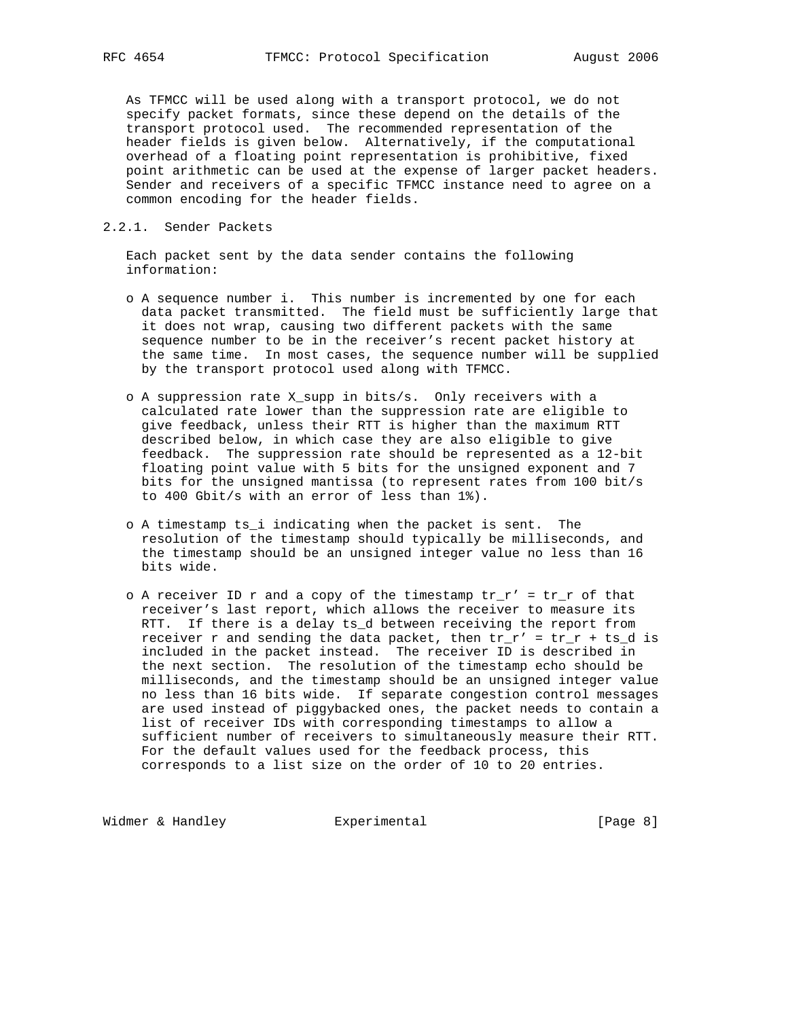As TFMCC will be used along with a transport protocol, we do not specify packet formats, since these depend on the details of the transport protocol used. The recommended representation of the header fields is given below. Alternatively, if the computational overhead of a floating point representation is prohibitive, fixed point arithmetic can be used at the expense of larger packet headers. Sender and receivers of a specific TFMCC instance need to agree on a common encoding for the header fields.

## 2.2.1. Sender Packets

 Each packet sent by the data sender contains the following information:

- o A sequence number i. This number is incremented by one for each data packet transmitted. The field must be sufficiently large that it does not wrap, causing two different packets with the same sequence number to be in the receiver's recent packet history at the same time. In most cases, the sequence number will be supplied by the transport protocol used along with TFMCC.
- o A suppression rate X\_supp in bits/s. Only receivers with a calculated rate lower than the suppression rate are eligible to give feedback, unless their RTT is higher than the maximum RTT described below, in which case they are also eligible to give feedback. The suppression rate should be represented as a 12-bit floating point value with 5 bits for the unsigned exponent and 7 bits for the unsigned mantissa (to represent rates from 100 bit/s to 400 Gbit/s with an error of less than 1%).
- o A timestamp ts\_i indicating when the packet is sent. The resolution of the timestamp should typically be milliseconds, and the timestamp should be an unsigned integer value no less than 16 bits wide.
- o A receiver ID r and a copy of the timestamp  $tr_r r' = tr_r$  of that receiver's last report, which allows the receiver to measure its RTT. If there is a delay ts\_d between receiving the report from receiver r and sending the data packet, then  $tr_r r' = tr_r + ts_d$  is included in the packet instead. The receiver ID is described in the next section. The resolution of the timestamp echo should be milliseconds, and the timestamp should be an unsigned integer value no less than 16 bits wide. If separate congestion control messages are used instead of piggybacked ones, the packet needs to contain a list of receiver IDs with corresponding timestamps to allow a sufficient number of receivers to simultaneously measure their RTT. For the default values used for the feedback process, this corresponds to a list size on the order of 10 to 20 entries.

Widmer & Handley **Experimental** Formula (Page 8)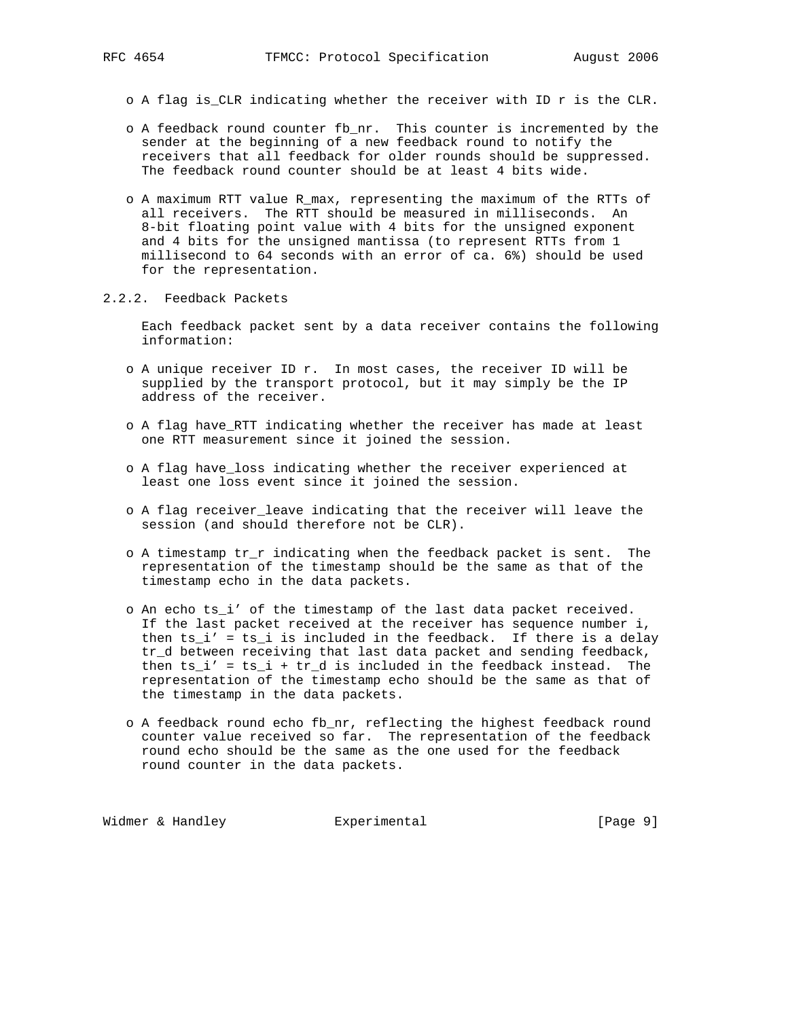- o A flag is\_CLR indicating whether the receiver with ID r is the CLR.
- o A feedback round counter fb\_nr. This counter is incremented by the sender at the beginning of a new feedback round to notify the receivers that all feedback for older rounds should be suppressed. The feedback round counter should be at least 4 bits wide.
- o A maximum RTT value R\_max, representing the maximum of the RTTs of all receivers. The RTT should be measured in milliseconds. An 8-bit floating point value with 4 bits for the unsigned exponent and 4 bits for the unsigned mantissa (to represent RTTs from 1 millisecond to 64 seconds with an error of ca. 6%) should be used for the representation.
- 2.2.2. Feedback Packets

 Each feedback packet sent by a data receiver contains the following information:

- o A unique receiver ID r. In most cases, the receiver ID will be supplied by the transport protocol, but it may simply be the IP address of the receiver.
- o A flag have\_RTT indicating whether the receiver has made at least one RTT measurement since it joined the session.
- o A flag have\_loss indicating whether the receiver experienced at least one loss event since it joined the session.
- o A flag receiver\_leave indicating that the receiver will leave the session (and should therefore not be CLR).
- o A timestamp tr\_r indicating when the feedback packet is sent. The representation of the timestamp should be the same as that of the timestamp echo in the data packets.
- o An echo ts\_i' of the timestamp of the last data packet received. If the last packet received at the receiver has sequence number i, then  $ts_i' = ts_i$  is included in the feedback. If there is a delay tr\_d between receiving that last data packet and sending feedback, then ts\_i' = ts\_i + tr\_d is included in the feedback instead. The representation of the timestamp echo should be the same as that of the timestamp in the data packets.
- o A feedback round echo fb\_nr, reflecting the highest feedback round counter value received so far. The representation of the feedback round echo should be the same as the one used for the feedback round counter in the data packets.

Widmer & Handley **Experimental** (Page 9)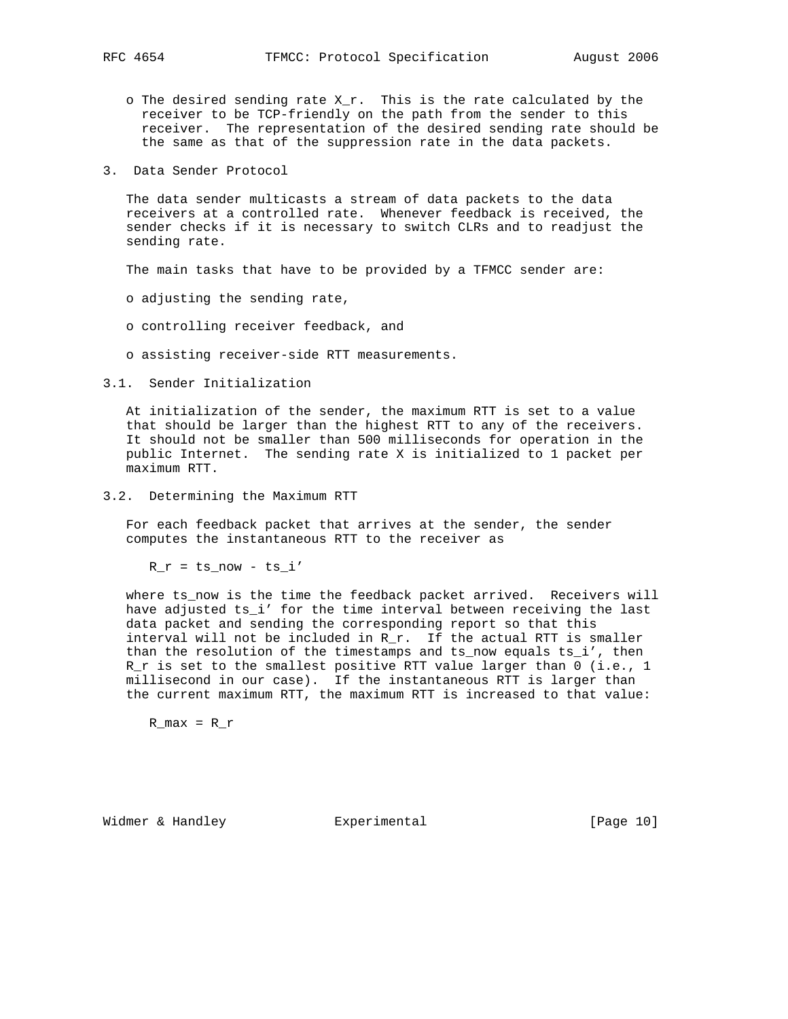- 
- o The desired sending rate X\_r. This is the rate calculated by the receiver to be TCP-friendly on the path from the sender to this receiver. The representation of the desired sending rate should be the same as that of the suppression rate in the data packets.
- 3. Data Sender Protocol

 The data sender multicasts a stream of data packets to the data receivers at a controlled rate. Whenever feedback is received, the sender checks if it is necessary to switch CLRs and to readjust the sending rate.

The main tasks that have to be provided by a TFMCC sender are:

- o adjusting the sending rate,
- o controlling receiver feedback, and
- o assisting receiver-side RTT measurements.
- 3.1. Sender Initialization

 At initialization of the sender, the maximum RTT is set to a value that should be larger than the highest RTT to any of the receivers. It should not be smaller than 500 milliseconds for operation in the public Internet. The sending rate X is initialized to 1 packet per maximum RTT.

3.2. Determining the Maximum RTT

 For each feedback packet that arrives at the sender, the sender computes the instantaneous RTT to the receiver as

 $R_r = ts_{now} - ts_i'$ 

where ts\_now is the time the feedback packet arrived. Receivers will have adjusted ts\_i' for the time interval between receiving the last data packet and sending the corresponding report so that this interval will not be included in  $R_r$ . If the actual RTT is smaller than the resolution of the timestamps and ts\_now equals ts\_i', then R\_r is set to the smallest positive RTT value larger than 0 (i.e., 1 millisecond in our case). If the instantaneous RTT is larger than the current maximum RTT, the maximum RTT is increased to that value:

 $R_{max} = R_r$ 

Widmer & Handley **Experimental** [Page 10]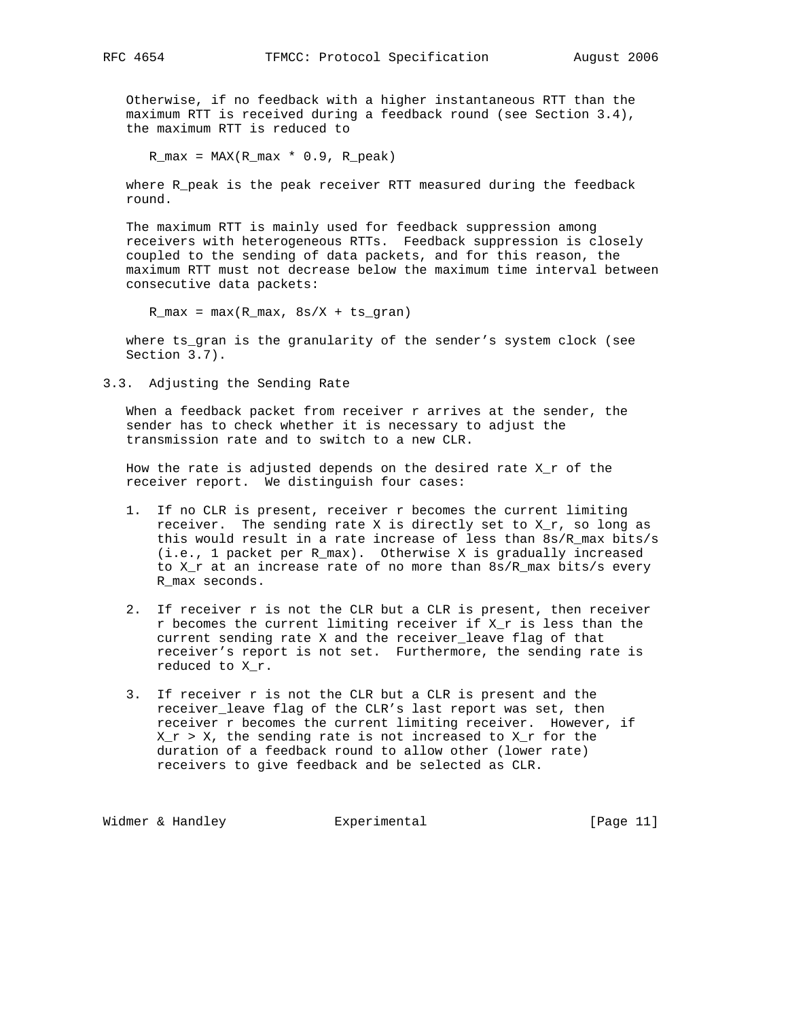Otherwise, if no feedback with a higher instantaneous RTT than the maximum RTT is received during a feedback round (see Section 3.4), the maximum RTT is reduced to

 $R_max = MAX(R_max * 0.9, R_peak)$ 

 where R\_peak is the peak receiver RTT measured during the feedback round.

 The maximum RTT is mainly used for feedback suppression among receivers with heterogeneous RTTs. Feedback suppression is closely coupled to the sending of data packets, and for this reason, the maximum RTT must not decrease below the maximum time interval between consecutive data packets:

 $R_max = max(R_max, 8s/X + ts-gran)$ 

where ts\_gran is the granularity of the sender's system clock (see Section 3.7).

3.3. Adjusting the Sending Rate

 When a feedback packet from receiver r arrives at the sender, the sender has to check whether it is necessary to adjust the transmission rate and to switch to a new CLR.

How the rate is adjusted depends on the desired rate  $X_r$  of the receiver report. We distinguish four cases:

- 1. If no CLR is present, receiver r becomes the current limiting receiver. The sending rate X is directly set to  $X_r$ , so long as this would result in a rate increase of less than 8s/R\_max bits/s (i.e., 1 packet per R\_max). Otherwise X is gradually increased to X\_r at an increase rate of no more than 8s/R\_max bits/s every R\_max seconds.
- 2. If receiver r is not the CLR but a CLR is present, then receiver r becomes the current limiting receiver if  $X_r$  is less than the current sending rate X and the receiver\_leave flag of that receiver's report is not set. Furthermore, the sending rate is reduced to X\_r.
- 3. If receiver r is not the CLR but a CLR is present and the receiver\_leave flag of the CLR's last report was set, then receiver r becomes the current limiting receiver. However, if  $X_r > X$ , the sending rate is not increased to  $X_r$  for the duration of a feedback round to allow other (lower rate) receivers to give feedback and be selected as CLR.

Widmer & Handley **Experimental** [Page 11]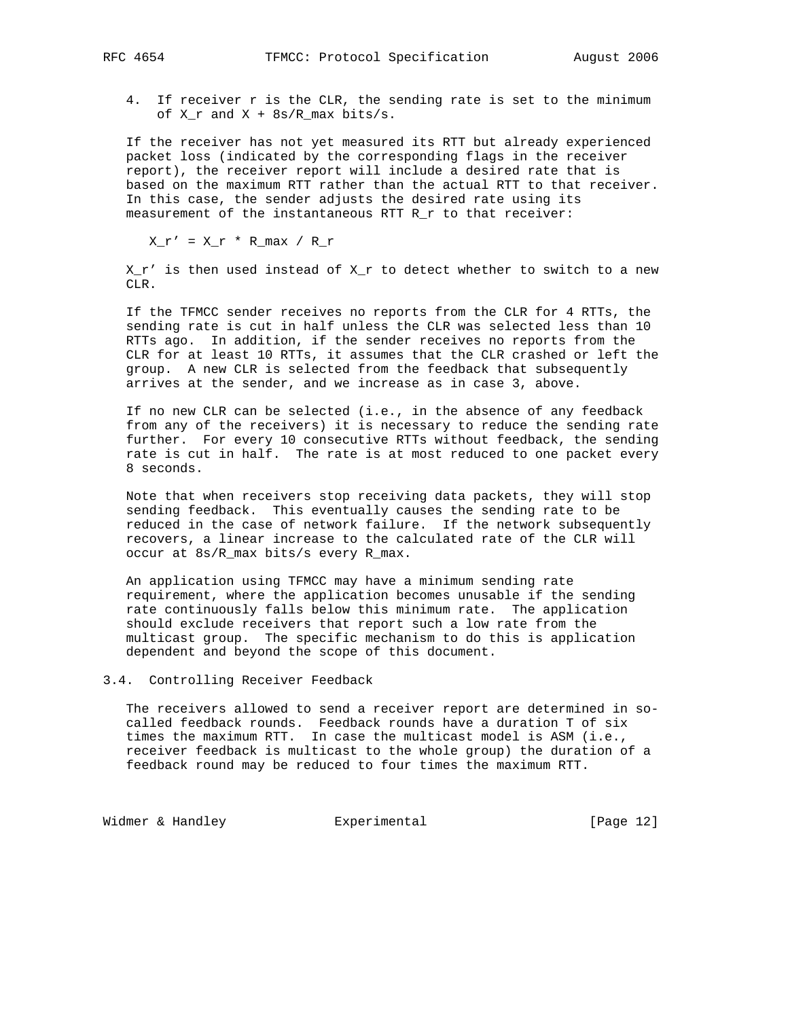4. If receiver r is the CLR, the sending rate is set to the minimum of  $X_r$  and  $X + 8s/R_{max}$  bits/s.

 If the receiver has not yet measured its RTT but already experienced packet loss (indicated by the corresponding flags in the receiver report), the receiver report will include a desired rate that is based on the maximum RTT rather than the actual RTT to that receiver. In this case, the sender adjusts the desired rate using its measurement of the instantaneous RTT R\_r to that receiver:

 $X_r' = X_r * R_max / R_r$ 

 X\_r' is then used instead of X\_r to detect whether to switch to a new CLR.

 If the TFMCC sender receives no reports from the CLR for 4 RTTs, the sending rate is cut in half unless the CLR was selected less than 10 RTTs ago. In addition, if the sender receives no reports from the CLR for at least 10 RTTs, it assumes that the CLR crashed or left the group. A new CLR is selected from the feedback that subsequently arrives at the sender, and we increase as in case 3, above.

 If no new CLR can be selected (i.e., in the absence of any feedback from any of the receivers) it is necessary to reduce the sending rate further. For every 10 consecutive RTTs without feedback, the sending rate is cut in half. The rate is at most reduced to one packet every 8 seconds.

 Note that when receivers stop receiving data packets, they will stop sending feedback. This eventually causes the sending rate to be reduced in the case of network failure. If the network subsequently recovers, a linear increase to the calculated rate of the CLR will occur at 8s/R\_max bits/s every R\_max.

 An application using TFMCC may have a minimum sending rate requirement, where the application becomes unusable if the sending rate continuously falls below this minimum rate. The application should exclude receivers that report such a low rate from the multicast group. The specific mechanism to do this is application dependent and beyond the scope of this document.

## 3.4. Controlling Receiver Feedback

 The receivers allowed to send a receiver report are determined in so called feedback rounds. Feedback rounds have a duration T of six times the maximum RTT. In case the multicast model is ASM (i.e., receiver feedback is multicast to the whole group) the duration of a feedback round may be reduced to four times the maximum RTT.

Widmer & Handley **Experimental** [Page 12]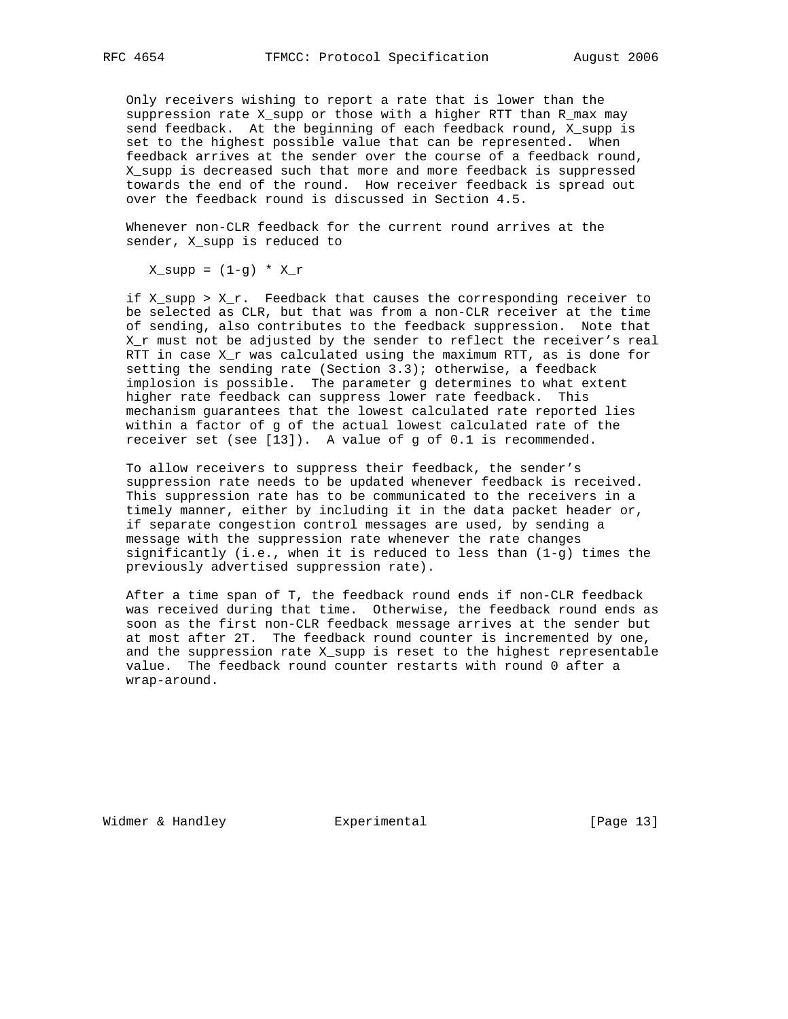Only receivers wishing to report a rate that is lower than the suppression rate X\_supp or those with a higher RTT than R\_max may send feedback. At the beginning of each feedback round, X\_supp is set to the highest possible value that can be represented. When feedback arrives at the sender over the course of a feedback round, X\_supp is decreased such that more and more feedback is suppressed towards the end of the round. How receiver feedback is spread out over the feedback round is discussed in Section 4.5.

 Whenever non-CLR feedback for the current round arrives at the sender, X\_supp is reduced to

 $X$ \_supp =  $(1-g) * X_r$ 

if X\_supp > X\_r. Feedback that causes the corresponding receiver to be selected as CLR, but that was from a non-CLR receiver at the time of sending, also contributes to the feedback suppression. Note that X\_r must not be adjusted by the sender to reflect the receiver's real RTT in case X\_r was calculated using the maximum RTT, as is done for setting the sending rate (Section 3.3); otherwise, a feedback implosion is possible. The parameter g determines to what extent higher rate feedback can suppress lower rate feedback. This mechanism guarantees that the lowest calculated rate reported lies within a factor of g of the actual lowest calculated rate of the receiver set (see [13]). A value of g of 0.1 is recommended.

 To allow receivers to suppress their feedback, the sender's suppression rate needs to be updated whenever feedback is received. This suppression rate has to be communicated to the receivers in a timely manner, either by including it in the data packet header or, if separate congestion control messages are used, by sending a message with the suppression rate whenever the rate changes significantly (i.e., when it is reduced to less than  $(1-g)$  times the previously advertised suppression rate).

 After a time span of T, the feedback round ends if non-CLR feedback was received during that time. Otherwise, the feedback round ends as soon as the first non-CLR feedback message arrives at the sender but at most after 2T. The feedback round counter is incremented by one, and the suppression rate X\_supp is reset to the highest representable value. The feedback round counter restarts with round 0 after a wrap-around.

Widmer & Handley **Experimental** [Page 13]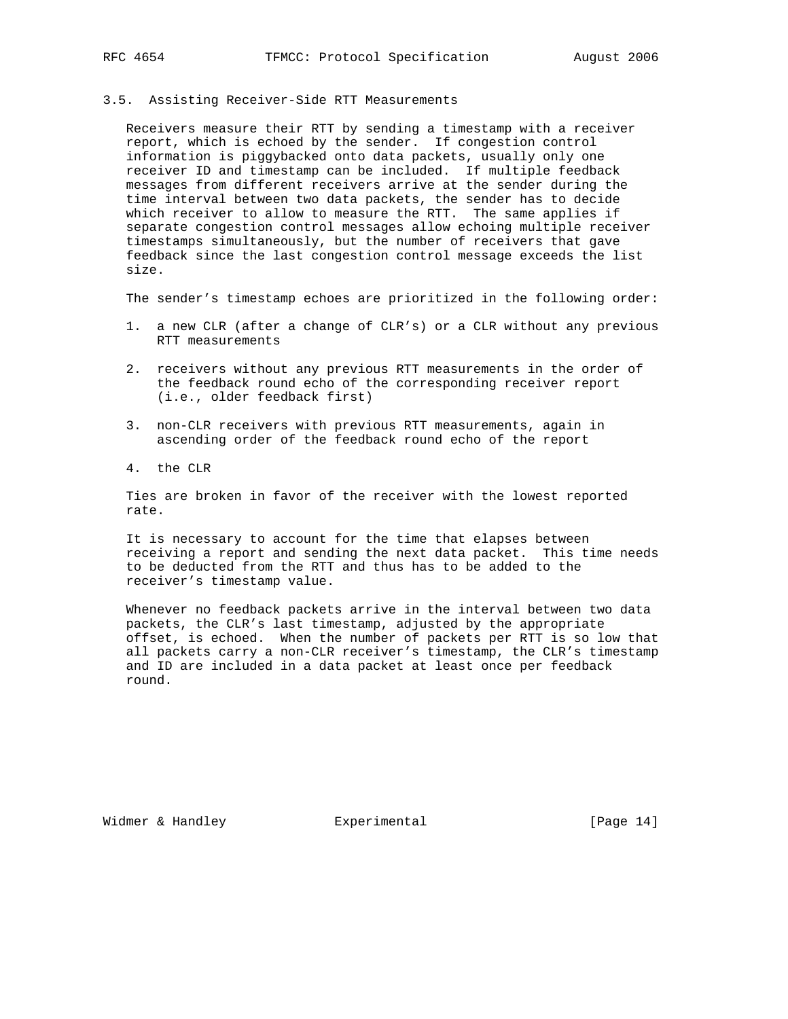## 3.5. Assisting Receiver-Side RTT Measurements

 Receivers measure their RTT by sending a timestamp with a receiver report, which is echoed by the sender. If congestion control information is piggybacked onto data packets, usually only one receiver ID and timestamp can be included. If multiple feedback messages from different receivers arrive at the sender during the time interval between two data packets, the sender has to decide which receiver to allow to measure the RTT. The same applies if separate congestion control messages allow echoing multiple receiver timestamps simultaneously, but the number of receivers that gave feedback since the last congestion control message exceeds the list size.

The sender's timestamp echoes are prioritized in the following order:

- 1. a new CLR (after a change of CLR's) or a CLR without any previous RTT measurements
- 2. receivers without any previous RTT measurements in the order of the feedback round echo of the corresponding receiver report (i.e., older feedback first)
- 3. non-CLR receivers with previous RTT measurements, again in ascending order of the feedback round echo of the report
- 4. the CLR

 Ties are broken in favor of the receiver with the lowest reported rate.

 It is necessary to account for the time that elapses between receiving a report and sending the next data packet. This time needs to be deducted from the RTT and thus has to be added to the receiver's timestamp value.

 Whenever no feedback packets arrive in the interval between two data packets, the CLR's last timestamp, adjusted by the appropriate offset, is echoed. When the number of packets per RTT is so low that all packets carry a non-CLR receiver's timestamp, the CLR's timestamp and ID are included in a data packet at least once per feedback round.

Widmer & Handley **Experimental** [Page 14]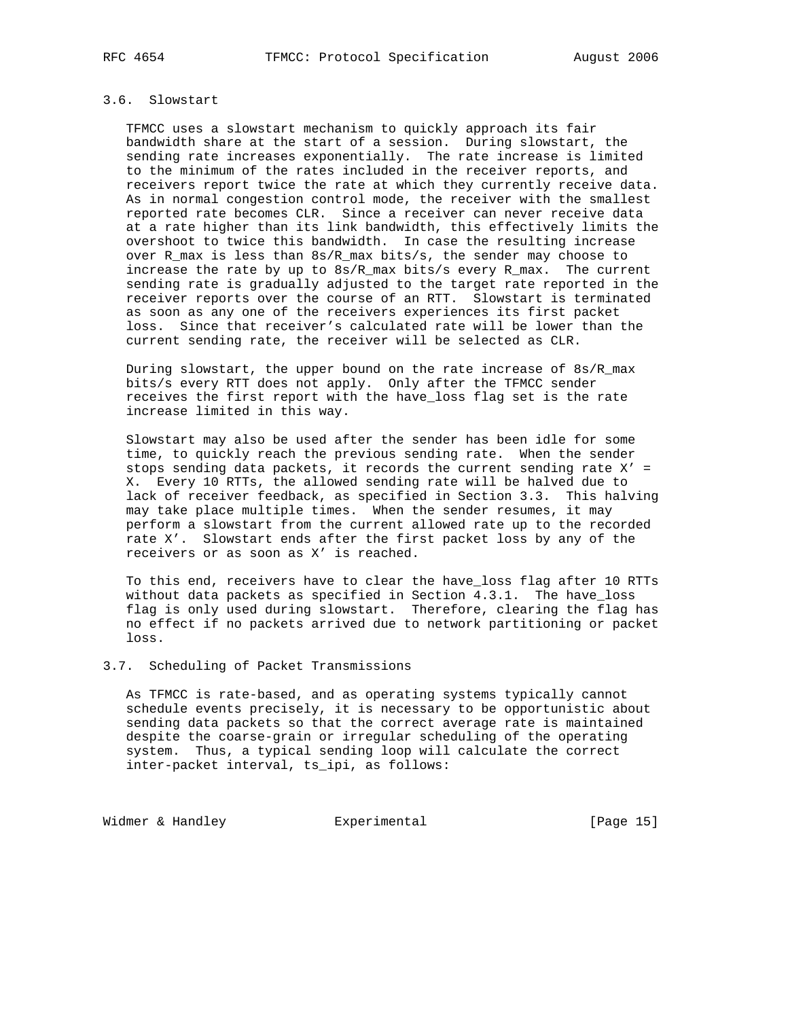## 3.6. Slowstart

 TFMCC uses a slowstart mechanism to quickly approach its fair bandwidth share at the start of a session. During slowstart, the sending rate increases exponentially. The rate increase is limited to the minimum of the rates included in the receiver reports, and receivers report twice the rate at which they currently receive data. As in normal congestion control mode, the receiver with the smallest reported rate becomes CLR. Since a receiver can never receive data at a rate higher than its link bandwidth, this effectively limits the overshoot to twice this bandwidth. In case the resulting increase over R\_max is less than 8s/R\_max bits/s, the sender may choose to increase the rate by up to 8s/R\_max bits/s every R\_max. The current sending rate is gradually adjusted to the target rate reported in the receiver reports over the course of an RTT. Slowstart is terminated as soon as any one of the receivers experiences its first packet loss. Since that receiver's calculated rate will be lower than the current sending rate, the receiver will be selected as CLR.

 During slowstart, the upper bound on the rate increase of 8s/R\_max bits/s every RTT does not apply. Only after the TFMCC sender receives the first report with the have\_loss flag set is the rate increase limited in this way.

 Slowstart may also be used after the sender has been idle for some time, to quickly reach the previous sending rate. When the sender stops sending data packets, it records the current sending rate X' = X. Every 10 RTTs, the allowed sending rate will be halved due to lack of receiver feedback, as specified in Section 3.3. This halving may take place multiple times. When the sender resumes, it may perform a slowstart from the current allowed rate up to the recorded rate X'. Slowstart ends after the first packet loss by any of the receivers or as soon as X' is reached.

 To this end, receivers have to clear the have\_loss flag after 10 RTTs without data packets as specified in Section 4.3.1. The have\_loss flag is only used during slowstart. Therefore, clearing the flag has no effect if no packets arrived due to network partitioning or packet loss.

## 3.7. Scheduling of Packet Transmissions

 As TFMCC is rate-based, and as operating systems typically cannot schedule events precisely, it is necessary to be opportunistic about sending data packets so that the correct average rate is maintained despite the coarse-grain or irregular scheduling of the operating system. Thus, a typical sending loop will calculate the correct inter-packet interval, ts\_ipi, as follows:

Widmer & Handley **Experimental** [Page 15]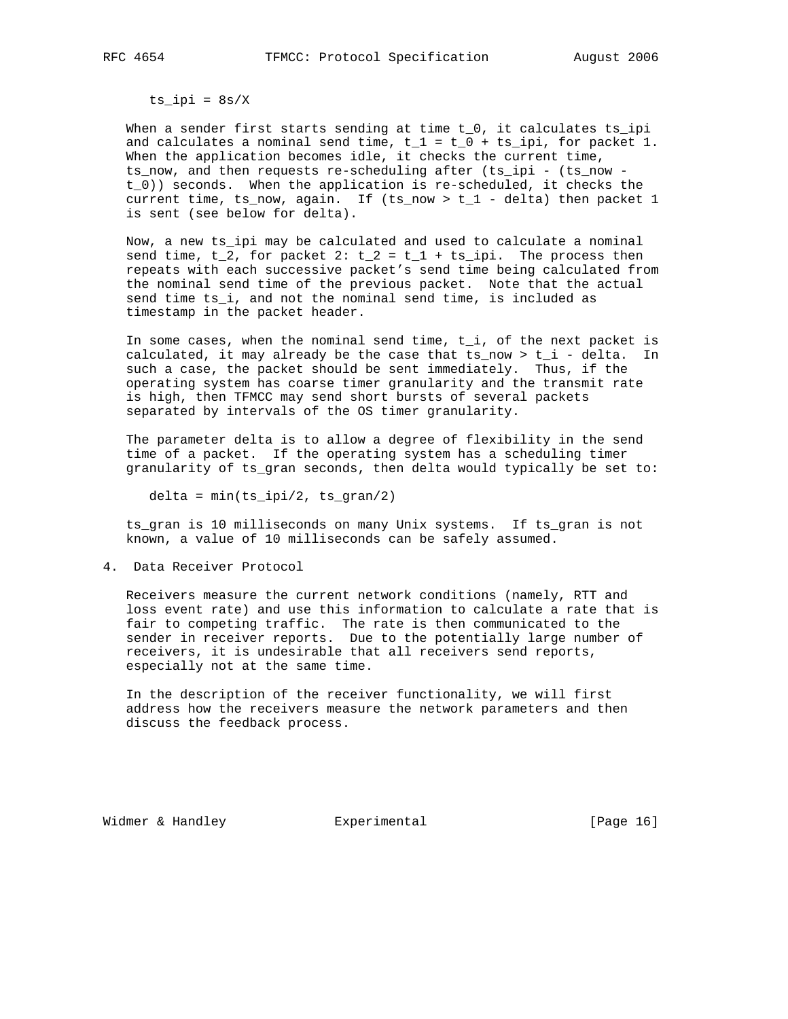$ts\_ipi = 8s/X$ 

When a sender first starts sending at time t\_0, it calculates ts\_ipi and calculates a nominal send time,  $t_1 = t_0 + ts_i$  for packet 1. When the application becomes idle, it checks the current time, ts\_now, and then requests re-scheduling after (ts\_ipi - (ts\_now t\_0)) seconds. When the application is re-scheduled, it checks the current time, ts\_now, again. If (ts\_now >  $t_1$  - delta) then packet 1 is sent (see below for delta).

 Now, a new ts\_ipi may be calculated and used to calculate a nominal send time,  $t_{2}$ , for packet 2:  $t_{2} = t_{1} + ts_{1}$  The process then repeats with each successive packet's send time being calculated from the nominal send time of the previous packet. Note that the actual send time ts\_i, and not the nominal send time, is included as timestamp in the packet header.

In some cases, when the nominal send time,  $t_i$ , of the next packet is calculated, it may already be the case that ts\_now > t\_i - delta. In such a case, the packet should be sent immediately. Thus, if the operating system has coarse timer granularity and the transmit rate is high, then TFMCC may send short bursts of several packets separated by intervals of the OS timer granularity.

 The parameter delta is to allow a degree of flexibility in the send time of a packet. If the operating system has a scheduling timer granularity of ts\_gran seconds, then delta would typically be set to:

 $delta = min(ts_ipi/2, ts-gran/2)$ 

 ts\_gran is 10 milliseconds on many Unix systems. If ts\_gran is not known, a value of 10 milliseconds can be safely assumed.

4. Data Receiver Protocol

 Receivers measure the current network conditions (namely, RTT and loss event rate) and use this information to calculate a rate that is fair to competing traffic. The rate is then communicated to the sender in receiver reports. Due to the potentially large number of receivers, it is undesirable that all receivers send reports, especially not at the same time.

 In the description of the receiver functionality, we will first address how the receivers measure the network parameters and then discuss the feedback process.

Widmer & Handley **Experimental** [Page 16]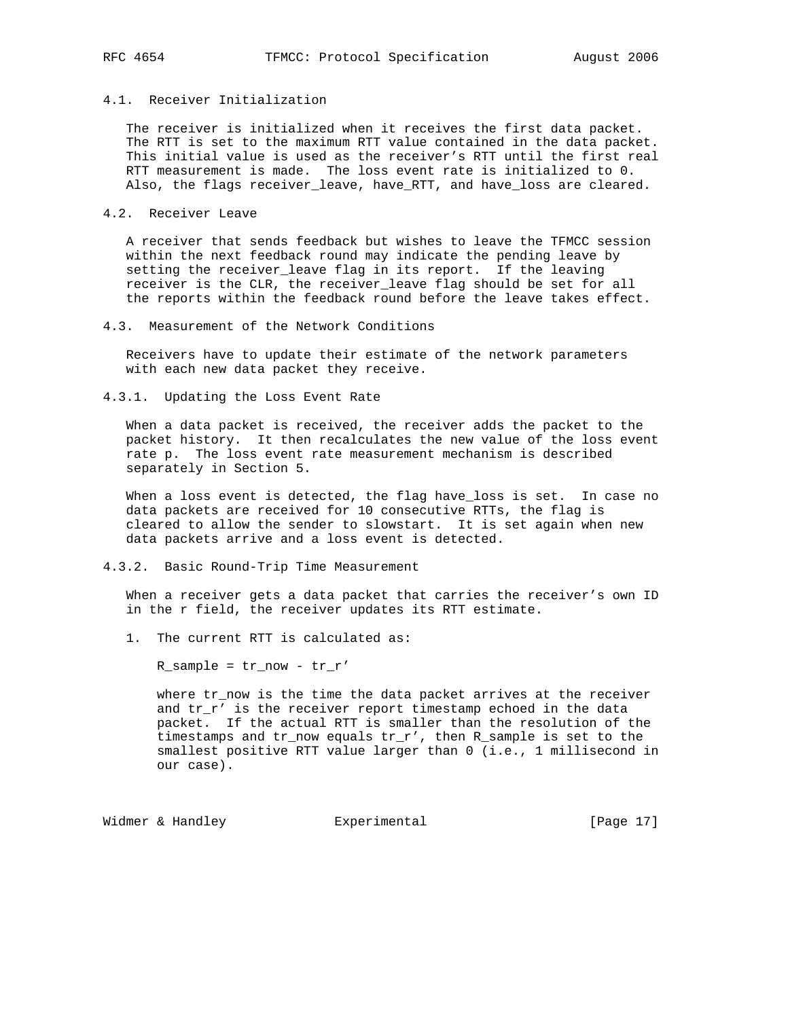# 4.1. Receiver Initialization

 The receiver is initialized when it receives the first data packet. The RTT is set to the maximum RTT value contained in the data packet. This initial value is used as the receiver's RTT until the first real RTT measurement is made. The loss event rate is initialized to 0. Also, the flags receiver\_leave, have\_RTT, and have\_loss are cleared.

## 4.2. Receiver Leave

 A receiver that sends feedback but wishes to leave the TFMCC session within the next feedback round may indicate the pending leave by setting the receiver\_leave flag in its report. If the leaving receiver is the CLR, the receiver\_leave flag should be set for all the reports within the feedback round before the leave takes effect.

4.3. Measurement of the Network Conditions

 Receivers have to update their estimate of the network parameters with each new data packet they receive.

4.3.1. Updating the Loss Event Rate

 When a data packet is received, the receiver adds the packet to the packet history. It then recalculates the new value of the loss event rate p. The loss event rate measurement mechanism is described separately in Section 5.

When a loss event is detected, the flag have\_loss is set. In case no data packets are received for 10 consecutive RTTs, the flag is cleared to allow the sender to slowstart. It is set again when new data packets arrive and a loss event is detected.

4.3.2. Basic Round-Trip Time Measurement

 When a receiver gets a data packet that carries the receiver's own ID in the r field, the receiver updates its RTT estimate.

1. The current RTT is calculated as:

 $R$ \_sample =  $tr$ \_now -  $tr$ \_ $r'$ 

 where tr\_now is the time the data packet arrives at the receiver and tr\_r' is the receiver report timestamp echoed in the data packet. If the actual RTT is smaller than the resolution of the timestamps and tr\_now equals tr\_r', then R\_sample is set to the smallest positive RTT value larger than 0 (i.e., 1 millisecond in our case).

Widmer & Handley **Experimental** [Page 17]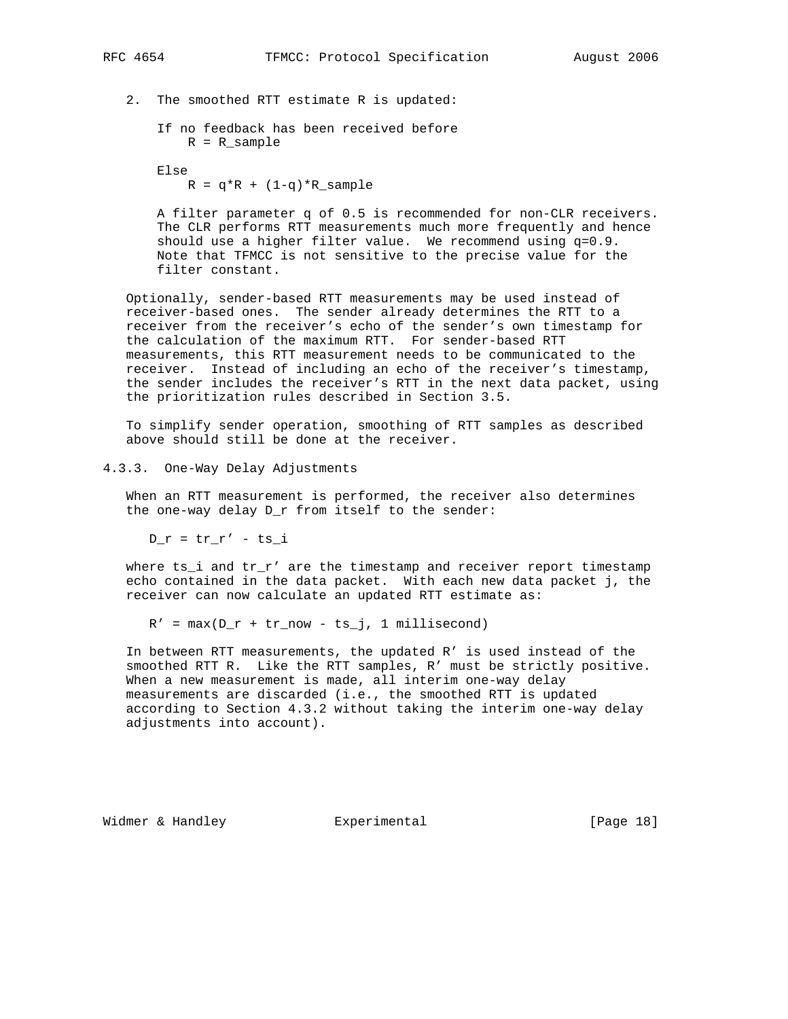2. The smoothed RTT estimate R is updated:

 If no feedback has been received before R = R\_sample

 Else  $R = q^*R + (1-q)^*R$  sample

 A filter parameter q of 0.5 is recommended for non-CLR receivers. The CLR performs RTT measurements much more frequently and hence should use a higher filter value. We recommend using q=0.9. Note that TFMCC is not sensitive to the precise value for the filter constant.

 Optionally, sender-based RTT measurements may be used instead of receiver-based ones. The sender already determines the RTT to a receiver from the receiver's echo of the sender's own timestamp for the calculation of the maximum RTT. For sender-based RTT measurements, this RTT measurement needs to be communicated to the receiver. Instead of including an echo of the receiver's timestamp, the sender includes the receiver's RTT in the next data packet, using the prioritization rules described in Section 3.5.

 To simplify sender operation, smoothing of RTT samples as described above should still be done at the receiver.

## 4.3.3. One-Way Delay Adjustments

 When an RTT measurement is performed, the receiver also determines the one-way delay D\_r from itself to the sender:

 $D_r = tr_r' - ts_i$ 

where  $ts_i$  and  $tr_r'$  are the timestamp and receiver report timestamp echo contained in the data packet. With each new data packet j, the receiver can now calculate an updated RTT estimate as:

 $R' = max(D_r + tr_{now} - ts_j, 1 millisecond)$ 

 In between RTT measurements, the updated R' is used instead of the smoothed RTT R. Like the RTT samples, R' must be strictly positive. When a new measurement is made, all interim one-way delay measurements are discarded (i.e., the smoothed RTT is updated according to Section 4.3.2 without taking the interim one-way delay adjustments into account).

Widmer & Handley **Experimental** [Page 18]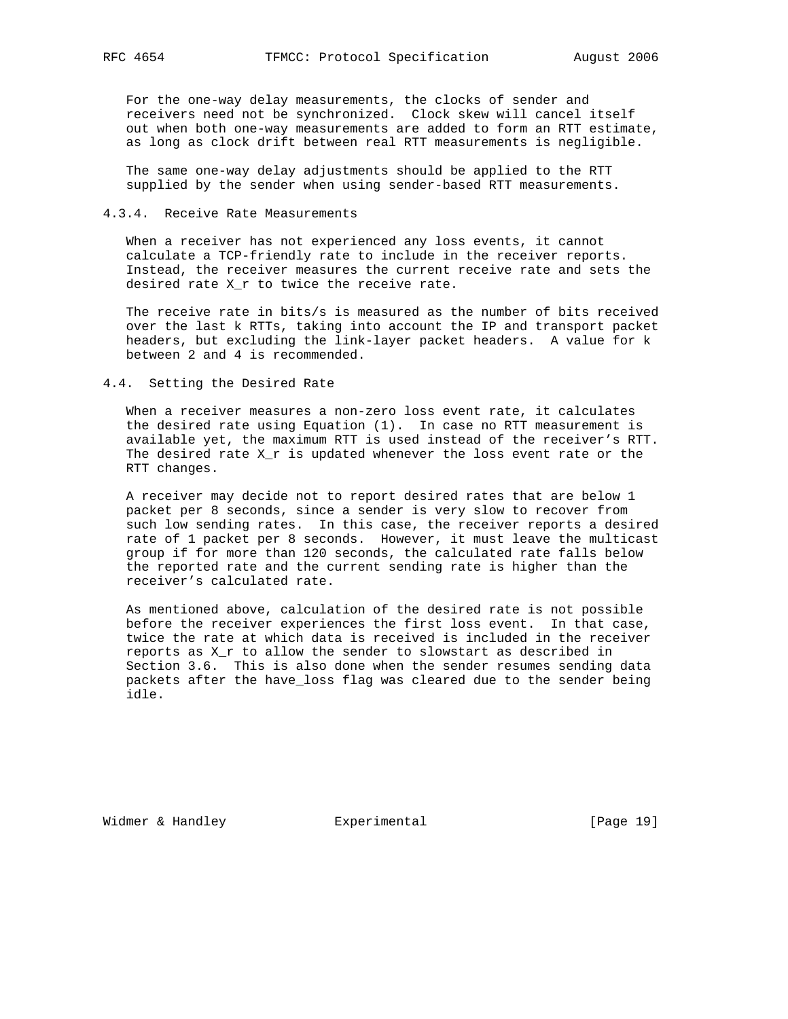For the one-way delay measurements, the clocks of sender and receivers need not be synchronized. Clock skew will cancel itself out when both one-way measurements are added to form an RTT estimate, as long as clock drift between real RTT measurements is negligible.

 The same one-way delay adjustments should be applied to the RTT supplied by the sender when using sender-based RTT measurements.

#### 4.3.4. Receive Rate Measurements

 When a receiver has not experienced any loss events, it cannot calculate a TCP-friendly rate to include in the receiver reports. Instead, the receiver measures the current receive rate and sets the desired rate X\_r to twice the receive rate.

 The receive rate in bits/s is measured as the number of bits received over the last k RTTs, taking into account the IP and transport packet headers, but excluding the link-layer packet headers. A value for k between 2 and 4 is recommended.

#### 4.4. Setting the Desired Rate

 When a receiver measures a non-zero loss event rate, it calculates the desired rate using Equation (1). In case no RTT measurement is available yet, the maximum RTT is used instead of the receiver's RTT. The desired rate  $X_r$  is updated whenever the loss event rate or the RTT changes.

 A receiver may decide not to report desired rates that are below 1 packet per 8 seconds, since a sender is very slow to recover from such low sending rates. In this case, the receiver reports a desired rate of 1 packet per 8 seconds. However, it must leave the multicast group if for more than 120 seconds, the calculated rate falls below the reported rate and the current sending rate is higher than the receiver's calculated rate.

 As mentioned above, calculation of the desired rate is not possible before the receiver experiences the first loss event. In that case, twice the rate at which data is received is included in the receiver reports as X\_r to allow the sender to slowstart as described in Section 3.6. This is also done when the sender resumes sending data packets after the have\_loss flag was cleared due to the sender being idle.

Widmer & Handley **Experimental** [Page 19]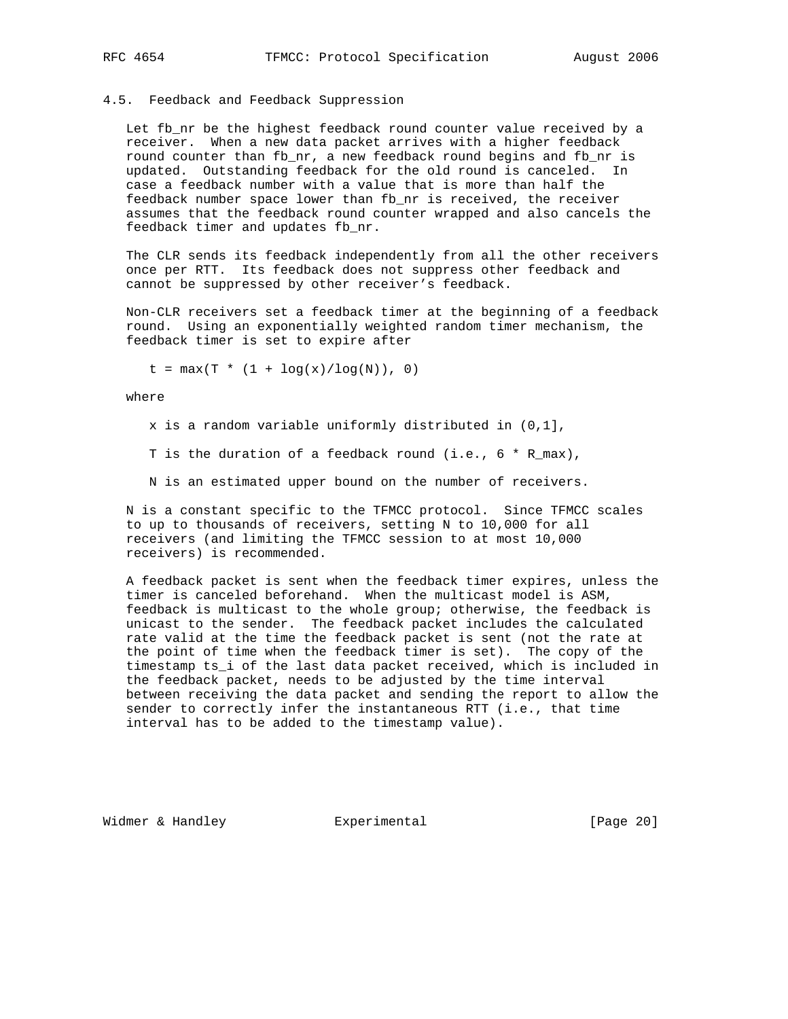## 4.5. Feedback and Feedback Suppression

 Let fb\_nr be the highest feedback round counter value received by a receiver. When a new data packet arrives with a higher feedback round counter than fb\_nr, a new feedback round begins and fb\_nr is updated. Outstanding feedback for the old round is canceled. In case a feedback number with a value that is more than half the feedback number space lower than fb\_nr is received, the receiver assumes that the feedback round counter wrapped and also cancels the feedback timer and updates fb\_nr.

 The CLR sends its feedback independently from all the other receivers once per RTT. Its feedback does not suppress other feedback and cannot be suppressed by other receiver's feedback.

 Non-CLR receivers set a feedback timer at the beginning of a feedback round. Using an exponentially weighted random timer mechanism, the feedback timer is set to expire after

 $t = max(T * (1 + log(x)/log(N)), 0)$ 

where

x is a random variable uniformly distributed in (0,1],

T is the duration of a feedback round (i.e., 6 \* R\_max),

N is an estimated upper bound on the number of receivers.

 N is a constant specific to the TFMCC protocol. Since TFMCC scales to up to thousands of receivers, setting N to 10,000 for all receivers (and limiting the TFMCC session to at most 10,000 receivers) is recommended.

 A feedback packet is sent when the feedback timer expires, unless the timer is canceled beforehand. When the multicast model is ASM, feedback is multicast to the whole group; otherwise, the feedback is unicast to the sender. The feedback packet includes the calculated rate valid at the time the feedback packet is sent (not the rate at the point of time when the feedback timer is set). The copy of the timestamp ts\_i of the last data packet received, which is included in the feedback packet, needs to be adjusted by the time interval between receiving the data packet and sending the report to allow the sender to correctly infer the instantaneous RTT (i.e., that time interval has to be added to the timestamp value).

Widmer & Handley **Experimental** [Page 20]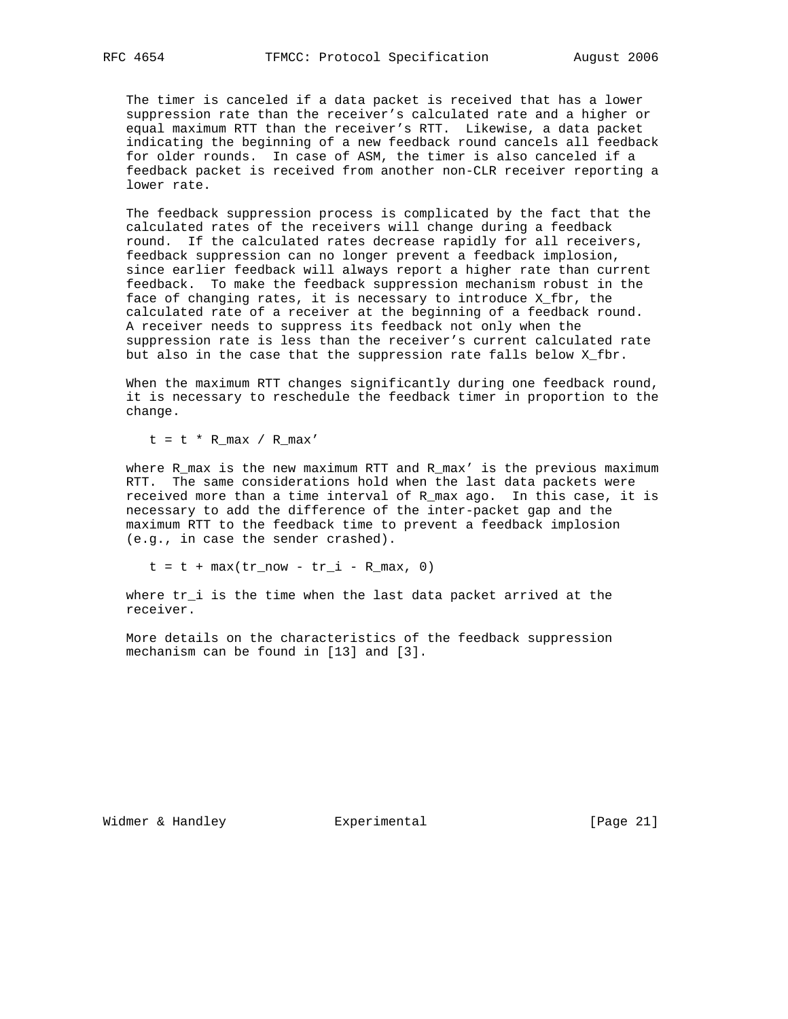The timer is canceled if a data packet is received that has a lower suppression rate than the receiver's calculated rate and a higher or equal maximum RTT than the receiver's RTT. Likewise, a data packet indicating the beginning of a new feedback round cancels all feedback for older rounds. In case of ASM, the timer is also canceled if a feedback packet is received from another non-CLR receiver reporting a lower rate.

 The feedback suppression process is complicated by the fact that the calculated rates of the receivers will change during a feedback round. If the calculated rates decrease rapidly for all receivers, feedback suppression can no longer prevent a feedback implosion, since earlier feedback will always report a higher rate than current feedback. To make the feedback suppression mechanism robust in the face of changing rates, it is necessary to introduce X\_fbr, the calculated rate of a receiver at the beginning of a feedback round. A receiver needs to suppress its feedback not only when the suppression rate is less than the receiver's current calculated rate but also in the case that the suppression rate falls below X\_fbr.

 When the maximum RTT changes significantly during one feedback round, it is necessary to reschedule the feedback timer in proportion to the change.

 $t = t * R_max / R_max'$ 

where R\_max is the new maximum RTT and R\_max' is the previous maximum RTT. The same considerations hold when the last data packets were received more than a time interval of R\_max ago. In this case, it is necessary to add the difference of the inter-packet gap and the maximum RTT to the feedback time to prevent a feedback implosion (e.g., in case the sender crashed).

 $t = t + max(tr_new - tr_i - R_max, 0)$ 

where tr\_i is the time when the last data packet arrived at the receiver.

 More details on the characteristics of the feedback suppression mechanism can be found in [13] and [3].

Widmer & Handley **Experimental** [Page 21]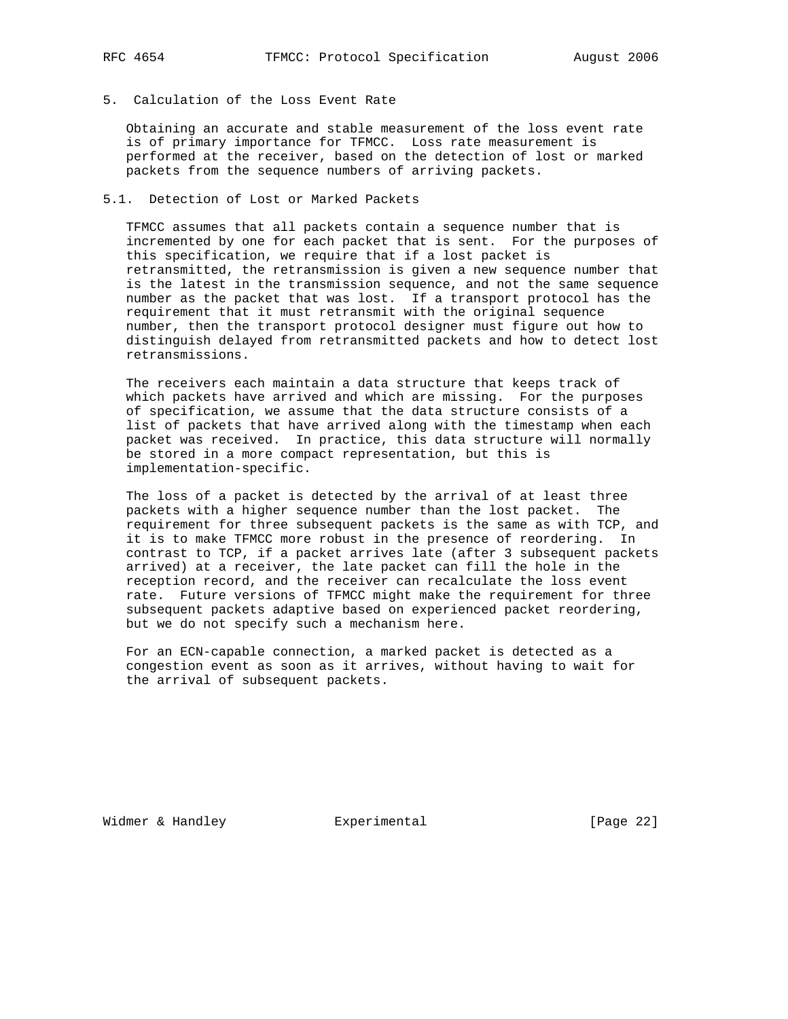# 5. Calculation of the Loss Event Rate

 Obtaining an accurate and stable measurement of the loss event rate is of primary importance for TFMCC. Loss rate measurement is performed at the receiver, based on the detection of lost or marked packets from the sequence numbers of arriving packets.

## 5.1. Detection of Lost or Marked Packets

 TFMCC assumes that all packets contain a sequence number that is incremented by one for each packet that is sent. For the purposes of this specification, we require that if a lost packet is retransmitted, the retransmission is given a new sequence number that is the latest in the transmission sequence, and not the same sequence number as the packet that was lost. If a transport protocol has the requirement that it must retransmit with the original sequence number, then the transport protocol designer must figure out how to distinguish delayed from retransmitted packets and how to detect lost retransmissions.

 The receivers each maintain a data structure that keeps track of which packets have arrived and which are missing. For the purposes of specification, we assume that the data structure consists of a list of packets that have arrived along with the timestamp when each packet was received. In practice, this data structure will normally be stored in a more compact representation, but this is implementation-specific.

 The loss of a packet is detected by the arrival of at least three packets with a higher sequence number than the lost packet. The requirement for three subsequent packets is the same as with TCP, and it is to make TFMCC more robust in the presence of reordering. In contrast to TCP, if a packet arrives late (after 3 subsequent packets arrived) at a receiver, the late packet can fill the hole in the reception record, and the receiver can recalculate the loss event rate. Future versions of TFMCC might make the requirement for three subsequent packets adaptive based on experienced packet reordering, but we do not specify such a mechanism here.

 For an ECN-capable connection, a marked packet is detected as a congestion event as soon as it arrives, without having to wait for the arrival of subsequent packets.

Widmer & Handley **Experimental** [Page 22]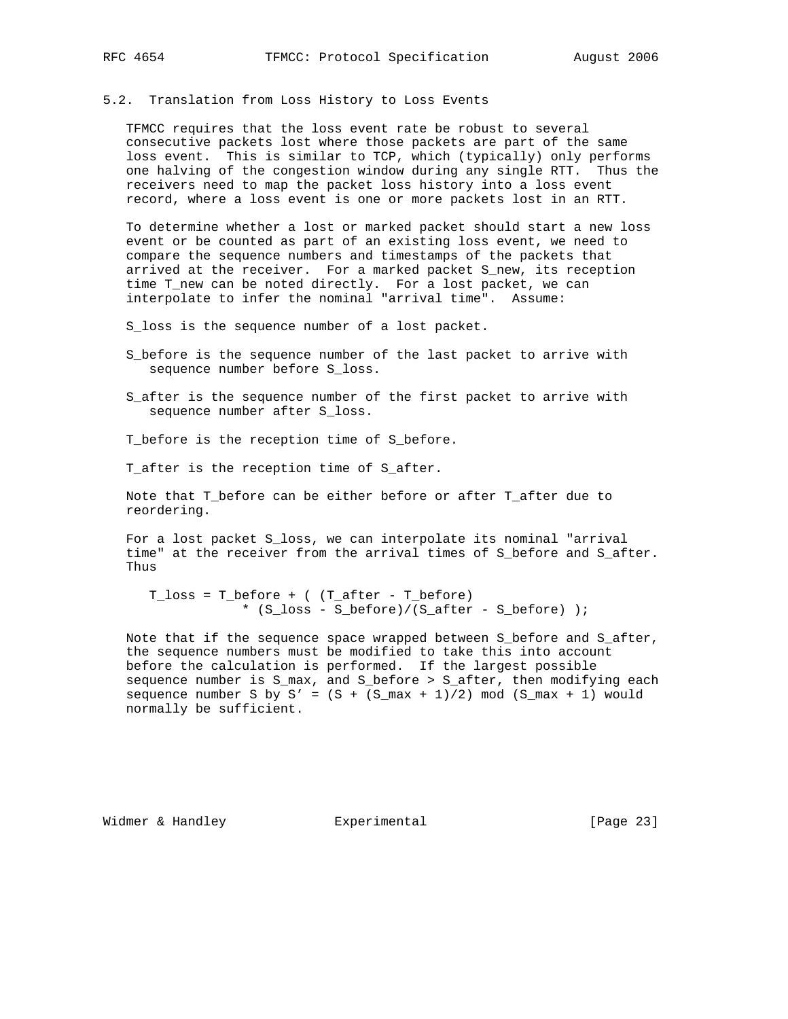#### 5.2. Translation from Loss History to Loss Events

 TFMCC requires that the loss event rate be robust to several consecutive packets lost where those packets are part of the same loss event. This is similar to TCP, which (typically) only performs one halving of the congestion window during any single RTT. Thus the receivers need to map the packet loss history into a loss event record, where a loss event is one or more packets lost in an RTT.

 To determine whether a lost or marked packet should start a new loss event or be counted as part of an existing loss event, we need to compare the sequence numbers and timestamps of the packets that arrived at the receiver. For a marked packet S\_new, its reception time T\_new can be noted directly. For a lost packet, we can interpolate to infer the nominal "arrival time". Assume:

S\_loss is the sequence number of a lost packet.

- S\_before is the sequence number of the last packet to arrive with sequence number before S\_loss.
- S\_after is the sequence number of the first packet to arrive with sequence number after S\_loss.
- T\_before is the reception time of S\_before.

T\_after is the reception time of S\_after.

 Note that T\_before can be either before or after T\_after due to reordering.

 For a lost packet S\_loss, we can interpolate its nominal "arrival time" at the receiver from the arrival times of S\_before and S\_after. Thus

 $T_loss = T_before + ( (T_after - T_before))$ \* (S\_loss - S\_before)/(S\_after - S\_before) );

 Note that if the sequence space wrapped between S\_before and S\_after, the sequence numbers must be modified to take this into account before the calculation is performed. If the largest possible sequence number is S\_max, and S\_before > S\_after, then modifying each sequence number S by S' =  $(S + (S_max + 1)/2)$  mod  $(S_max + 1)$  would normally be sufficient.

Widmer & Handley **Experimental** [Page 23]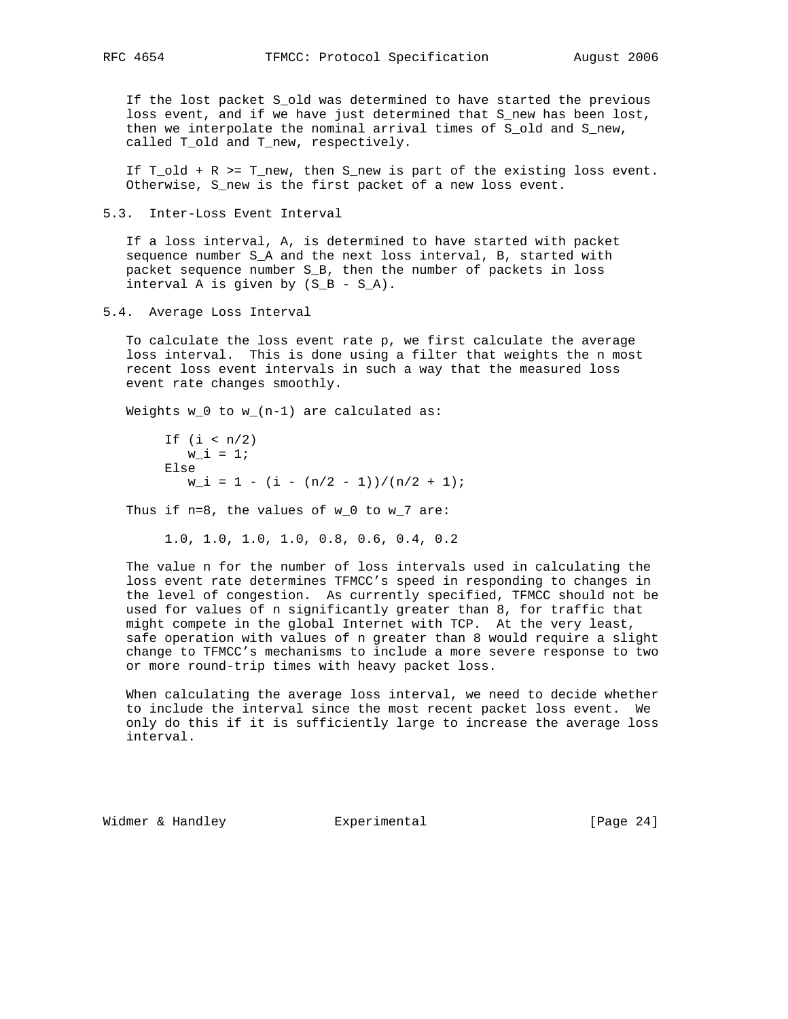If the lost packet S\_old was determined to have started the previous loss event, and if we have just determined that S\_new has been lost, then we interpolate the nominal arrival times of S\_old and S\_new, called T\_old and T\_new, respectively.

If  $T_{old}$  + R >=  $T_{new}$ , then S\_new is part of the existing loss event. Otherwise, S\_new is the first packet of a new loss event.

5.3. Inter-Loss Event Interval

 If a loss interval, A, is determined to have started with packet sequence number S\_A and the next loss interval, B, started with packet sequence number S\_B, then the number of packets in loss interval A is given by  $(S_B - S_A)$ .

5.4. Average Loss Interval

 To calculate the loss event rate p, we first calculate the average loss interval. This is done using a filter that weights the n most recent loss event intervals in such a way that the measured loss event rate changes smoothly.

Weights w\_0 to w\_(n-1) are calculated as:

If  $(i < n/2)$  $w_i = 1;$  Else  $w_i = 1 - (i - (n/2 - 1))/(n/2 + 1);$ 

Thus if  $n=8$ , the values of  $w_0$  to  $w_7$  are:

1.0, 1.0, 1.0, 1.0, 0.8, 0.6, 0.4, 0.2

 The value n for the number of loss intervals used in calculating the loss event rate determines TFMCC's speed in responding to changes in the level of congestion. As currently specified, TFMCC should not be used for values of n significantly greater than 8, for traffic that might compete in the global Internet with TCP. At the very least, safe operation with values of n greater than 8 would require a slight change to TFMCC's mechanisms to include a more severe response to two or more round-trip times with heavy packet loss.

 When calculating the average loss interval, we need to decide whether to include the interval since the most recent packet loss event. We only do this if it is sufficiently large to increase the average loss interval.

Widmer & Handley **Experimental** [Page 24]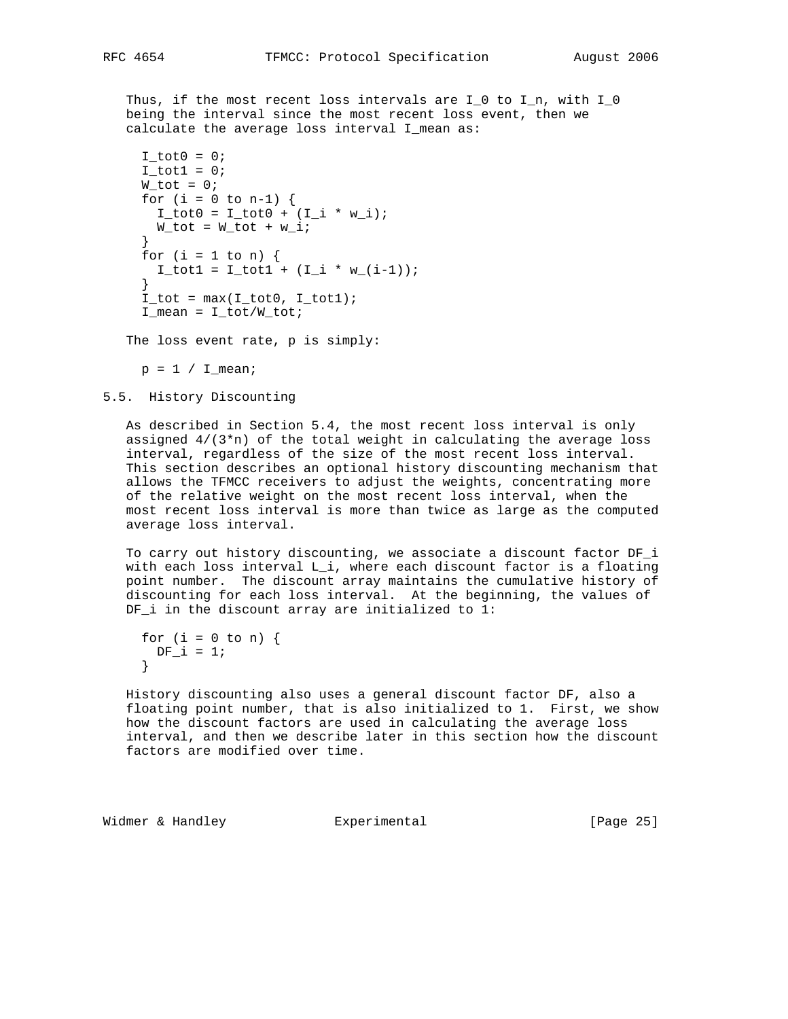Thus, if the most recent loss intervals are I\_0 to I\_n, with I\_0 being the interval since the most recent loss event, then we calculate the average loss interval I\_mean as:

```
I\_tot0 = 0;I_tot1 = 0;W_tot = 0;for (i = 0 \text{ to } n-1) {
      I_{tot0} = I_{tot0} + (I_{i} * w_{i});
      W_tot = W_tot + w_i; }
     for (i = 1 to n) {
      I_{tot1} = I_{tot1} + (I_{i} * w_{i} - (i-1)); }
     I\_tot = max(I\_tot0, I\_tot1);I_mean = I\_tot/W\_tot;
```
The loss event rate, p is simply:

 $p = 1 / I$  mean;

5.5. History Discounting

 As described in Section 5.4, the most recent loss interval is only assigned  $4/(3<sup>*</sup>n)$  of the total weight in calculating the average loss interval, regardless of the size of the most recent loss interval. This section describes an optional history discounting mechanism that allows the TFMCC receivers to adjust the weights, concentrating more of the relative weight on the most recent loss interval, when the most recent loss interval is more than twice as large as the computed average loss interval.

 To carry out history discounting, we associate a discount factor DF\_i with each loss interval L\_i, where each discount factor is a floating point number. The discount array maintains the cumulative history of discounting for each loss interval. At the beginning, the values of DF\_i in the discount array are initialized to 1:

```
for (i = 0 to n) {
 DF_i = 1; }
```
 History discounting also uses a general discount factor DF, also a floating point number, that is also initialized to 1. First, we show how the discount factors are used in calculating the average loss interval, and then we describe later in this section how the discount factors are modified over time.

Widmer & Handley **Experimental** [Page 25]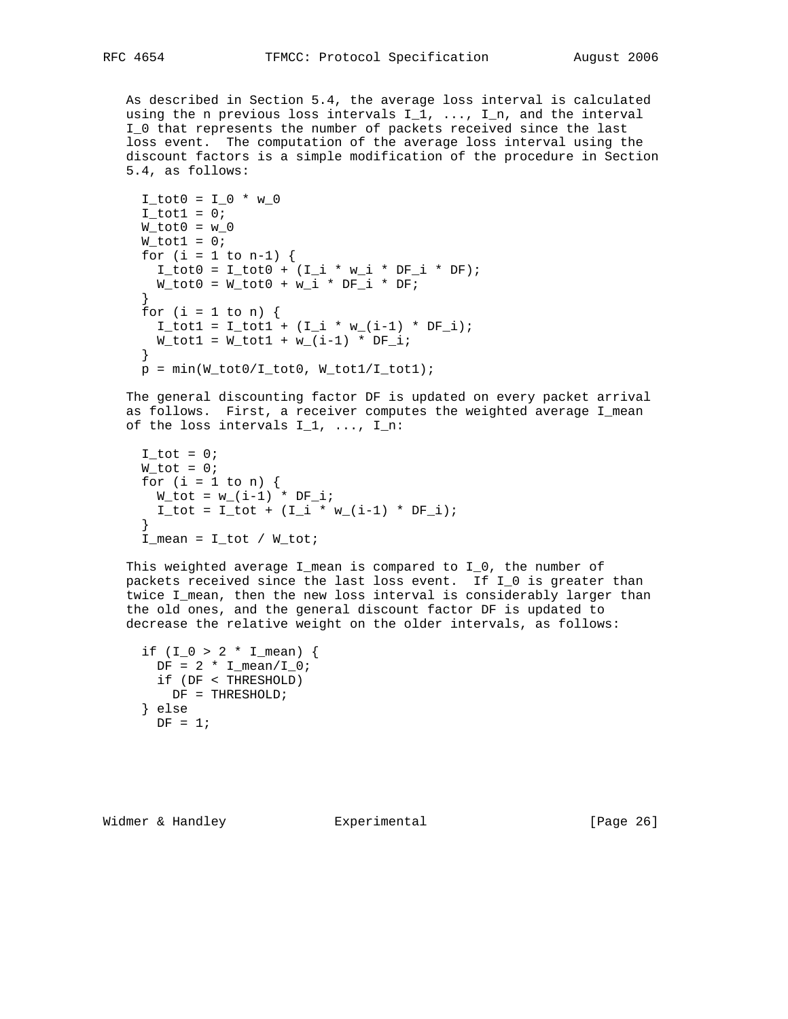As described in Section 5.4, the average loss interval is calculated using the n previous loss intervals  $I_1$ , ...,  $I_n$ , and the interval I\_0 that represents the number of packets received since the last loss event. The computation of the average loss interval using the discount factors is a simple modification of the procedure in Section 5.4, as follows:

```
I\_tot0 = I_0 * w_0I\_tot1 = 0;W tot0 = w 0
W_tot1 = 0;for (i = 1 to n-1) {
 I_{tot0} = I_{tot0} + (I_{i} * w_{i} * DF_{i} * DF);W_tot0 = W_tot0 + w_i * DF_i * DF_i }
for (i = 1 to n) {
 I_{tot1} = I_{tot1} + (I_{i} * w_{i} - i) * DF_{i};W_{tot1} = W_{tot1} + w_{i1} - 1 * DF<sub>i</sub>;
 }
p = min(W_tot0/I_tot0, W_tot1/I_tot1);
```
 The general discounting factor DF is updated on every packet arrival as follows. First, a receiver computes the weighted average I\_mean of the loss intervals I\_1, ..., I\_n:

```
I\_tot = 0;W_tot = 0;for (i = 1 to n) {
 W_tot = w_1(i-1) * DF_i;I_{tot} = I_{tot} + (I_{i} * w_{i} - (i-1) * DF_{i}; }
I_mean = I\_tot / W\_tot;
```
This weighted average I mean is compared to I  $0$ , the number of packets received since the last loss event. If I\_0 is greater than twice I\_mean, then the new loss interval is considerably larger than the old ones, and the general discount factor DF is updated to decrease the relative weight on the older intervals, as follows:

```
if (I_0 > 2 * I_{mean}) {
 DF = 2 * I_mean/I_0; if (DF < THRESHOLD)
    DF = THRESHOLD;
 } else
 DF = 1;
```
Widmer & Handley **Experimental** [Page 26]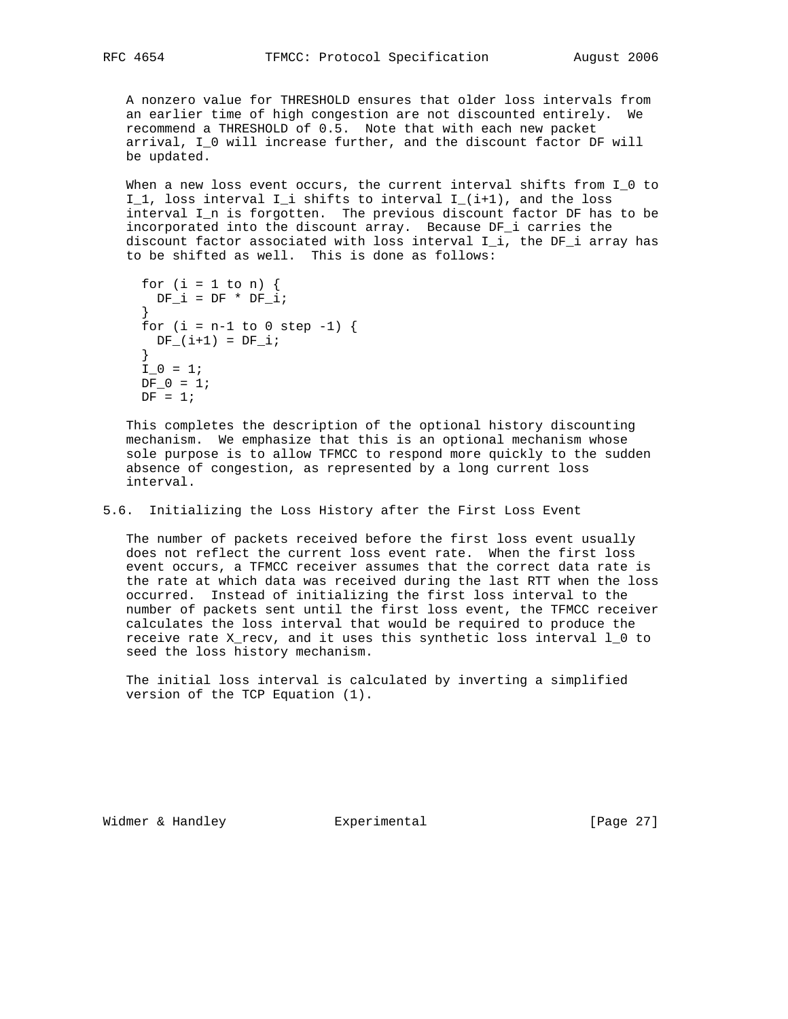A nonzero value for THRESHOLD ensures that older loss intervals from an earlier time of high congestion are not discounted entirely. We recommend a THRESHOLD of 0.5. Note that with each new packet arrival, I\_0 will increase further, and the discount factor DF will be updated.

When a new loss event occurs, the current interval shifts from I\_0 to I\_1, loss interval I\_i shifts to interval I\_(i+1), and the loss interval I\_n is forgotten. The previous discount factor DF has to be incorporated into the discount array. Because DF\_i carries the discount factor associated with loss interval I\_i, the DF\_i array has to be shifted as well. This is done as follows:

```
for (i = 1 to n) {
     DF_i = DF * DF_i; }
    for (i = n-1 to 0 step -1) {
     DF_{i}(i+1) = DF_{i}; }
    I_0 = 1;DF_0 = 1;DF = 1;
```
 This completes the description of the optional history discounting mechanism. We emphasize that this is an optional mechanism whose sole purpose is to allow TFMCC to respond more quickly to the sudden absence of congestion, as represented by a long current loss interval.

5.6. Initializing the Loss History after the First Loss Event

 The number of packets received before the first loss event usually does not reflect the current loss event rate. When the first loss event occurs, a TFMCC receiver assumes that the correct data rate is the rate at which data was received during the last RTT when the loss occurred. Instead of initializing the first loss interval to the number of packets sent until the first loss event, the TFMCC receiver calculates the loss interval that would be required to produce the receive rate X\_recv, and it uses this synthetic loss interval l\_0 to seed the loss history mechanism.

 The initial loss interval is calculated by inverting a simplified version of the TCP Equation (1).

Widmer & Handley **Experimental** (Page 27)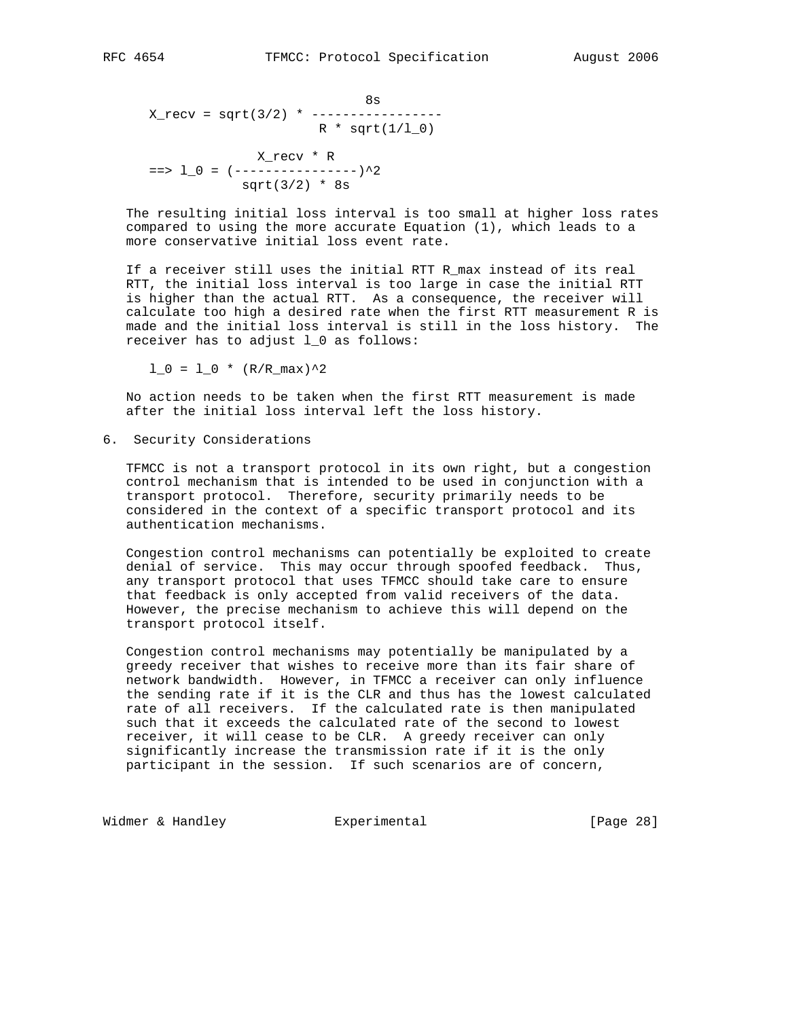8s X\_recv = sqrt(3/2) \* -----------------  $R * sqrt(1/1_0)$  X\_recv \* R  $\Rightarrow$  1\_0 = (--------------------)^2

sqrt(3/2) \* 8s

 The resulting initial loss interval is too small at higher loss rates compared to using the more accurate Equation (1), which leads to a more conservative initial loss event rate.

If a receiver still uses the initial RTT R max instead of its real RTT, the initial loss interval is too large in case the initial RTT is higher than the actual RTT. As a consequence, the receiver will calculate too high a desired rate when the first RTT measurement R is made and the initial loss interval is still in the loss history. The receiver has to adjust l\_0 as follows:

 $l_0 = l_0 * (R/R_max)^2$ 

 No action needs to be taken when the first RTT measurement is made after the initial loss interval left the loss history.

6. Security Considerations

 TFMCC is not a transport protocol in its own right, but a congestion control mechanism that is intended to be used in conjunction with a transport protocol. Therefore, security primarily needs to be considered in the context of a specific transport protocol and its authentication mechanisms.

 Congestion control mechanisms can potentially be exploited to create denial of service. This may occur through spoofed feedback. Thus, any transport protocol that uses TFMCC should take care to ensure that feedback is only accepted from valid receivers of the data. However, the precise mechanism to achieve this will depend on the transport protocol itself.

 Congestion control mechanisms may potentially be manipulated by a greedy receiver that wishes to receive more than its fair share of network bandwidth. However, in TFMCC a receiver can only influence the sending rate if it is the CLR and thus has the lowest calculated rate of all receivers. If the calculated rate is then manipulated such that it exceeds the calculated rate of the second to lowest receiver, it will cease to be CLR. A greedy receiver can only significantly increase the transmission rate if it is the only participant in the session. If such scenarios are of concern,

Widmer & Handley **Experimental** [Page 28]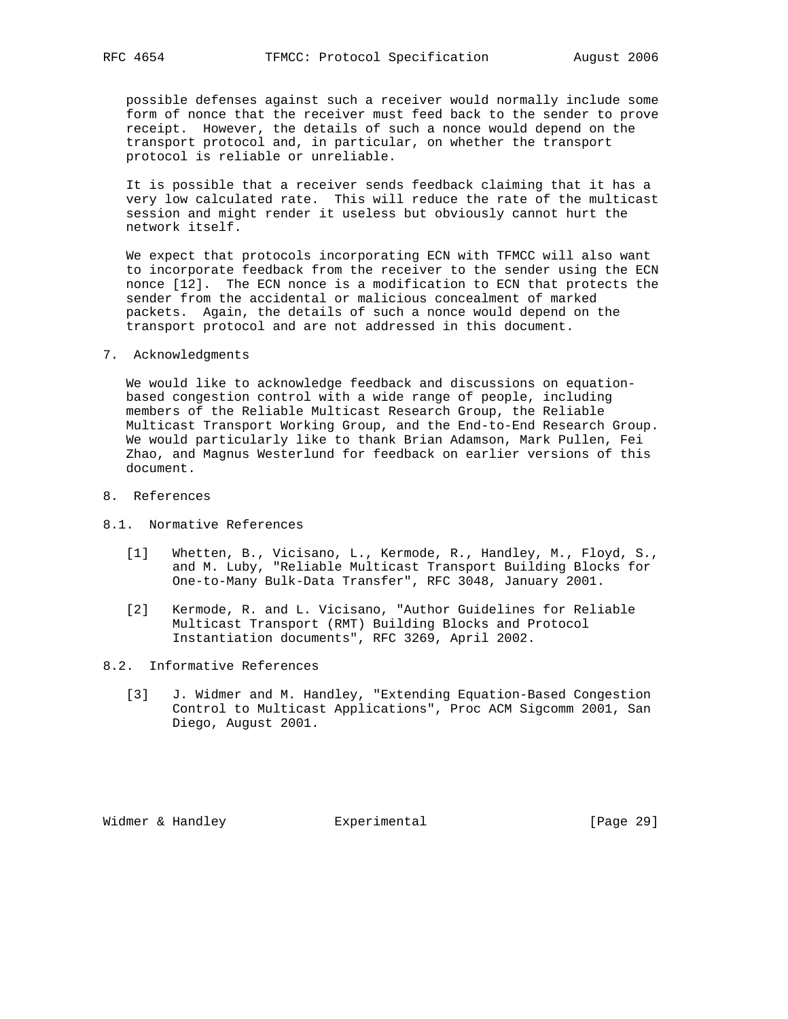possible defenses against such a receiver would normally include some form of nonce that the receiver must feed back to the sender to prove receipt. However, the details of such a nonce would depend on the transport protocol and, in particular, on whether the transport protocol is reliable or unreliable.

 It is possible that a receiver sends feedback claiming that it has a very low calculated rate. This will reduce the rate of the multicast session and might render it useless but obviously cannot hurt the network itself.

 We expect that protocols incorporating ECN with TFMCC will also want to incorporate feedback from the receiver to the sender using the ECN nonce [12]. The ECN nonce is a modification to ECN that protects the sender from the accidental or malicious concealment of marked packets. Again, the details of such a nonce would depend on the transport protocol and are not addressed in this document.

7. Acknowledgments

 We would like to acknowledge feedback and discussions on equation based congestion control with a wide range of people, including members of the Reliable Multicast Research Group, the Reliable Multicast Transport Working Group, and the End-to-End Research Group. We would particularly like to thank Brian Adamson, Mark Pullen, Fei Zhao, and Magnus Westerlund for feedback on earlier versions of this document.

- 8. References
- 8.1. Normative References
	- [1] Whetten, B., Vicisano, L., Kermode, R., Handley, M., Floyd, S., and M. Luby, "Reliable Multicast Transport Building Blocks for One-to-Many Bulk-Data Transfer", RFC 3048, January 2001.
	- [2] Kermode, R. and L. Vicisano, "Author Guidelines for Reliable Multicast Transport (RMT) Building Blocks and Protocol Instantiation documents", RFC 3269, April 2002.
- 8.2. Informative References
	- [3] J. Widmer and M. Handley, "Extending Equation-Based Congestion Control to Multicast Applications", Proc ACM Sigcomm 2001, San Diego, August 2001.

Widmer & Handley **Experimental** [Page 29]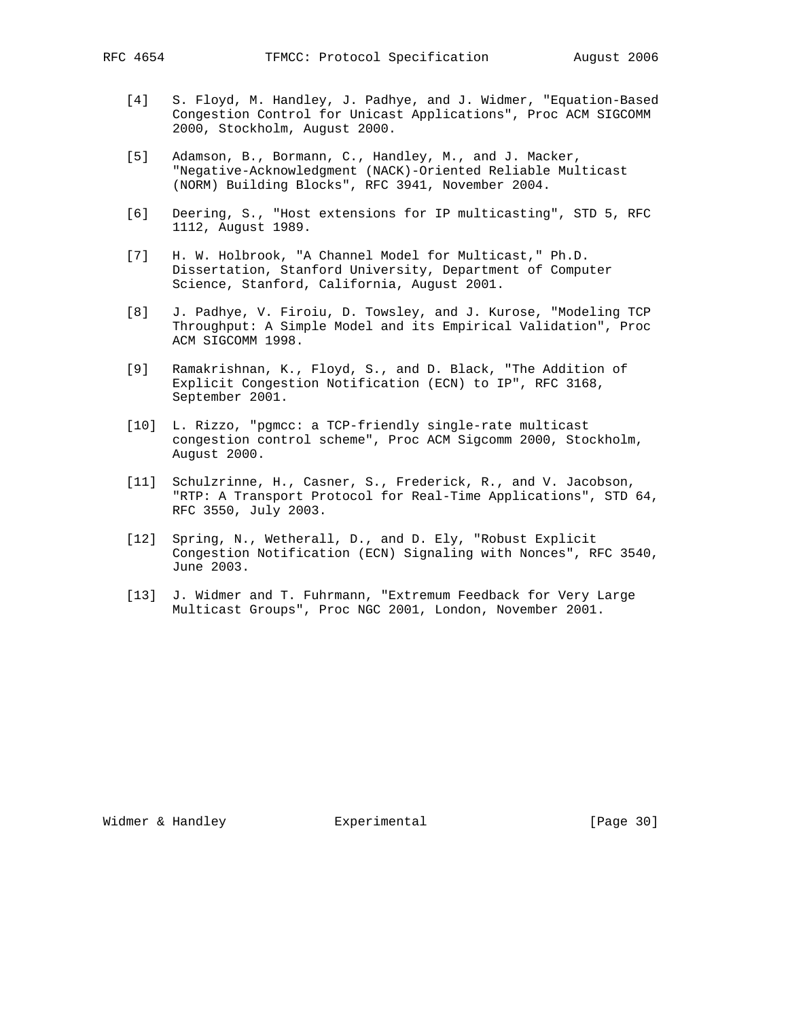- [4] S. Floyd, M. Handley, J. Padhye, and J. Widmer, "Equation-Based Congestion Control for Unicast Applications", Proc ACM SIGCOMM 2000, Stockholm, August 2000.
- [5] Adamson, B., Bormann, C., Handley, M., and J. Macker, "Negative-Acknowledgment (NACK)-Oriented Reliable Multicast (NORM) Building Blocks", RFC 3941, November 2004.
- [6] Deering, S., "Host extensions for IP multicasting", STD 5, RFC 1112, August 1989.
- [7] H. W. Holbrook, "A Channel Model for Multicast," Ph.D. Dissertation, Stanford University, Department of Computer Science, Stanford, California, August 2001.
- [8] J. Padhye, V. Firoiu, D. Towsley, and J. Kurose, "Modeling TCP Throughput: A Simple Model and its Empirical Validation", Proc ACM SIGCOMM 1998.
- [9] Ramakrishnan, K., Floyd, S., and D. Black, "The Addition of Explicit Congestion Notification (ECN) to IP", RFC 3168, September 2001.
- [10] L. Rizzo, "pgmcc: a TCP-friendly single-rate multicast congestion control scheme", Proc ACM Sigcomm 2000, Stockholm, August 2000.
- [11] Schulzrinne, H., Casner, S., Frederick, R., and V. Jacobson, "RTP: A Transport Protocol for Real-Time Applications", STD 64, RFC 3550, July 2003.
- [12] Spring, N., Wetherall, D., and D. Ely, "Robust Explicit Congestion Notification (ECN) Signaling with Nonces", RFC 3540, June 2003.
- [13] J. Widmer and T. Fuhrmann, "Extremum Feedback for Very Large Multicast Groups", Proc NGC 2001, London, November 2001.

Widmer & Handley **Experimental** [Page 30]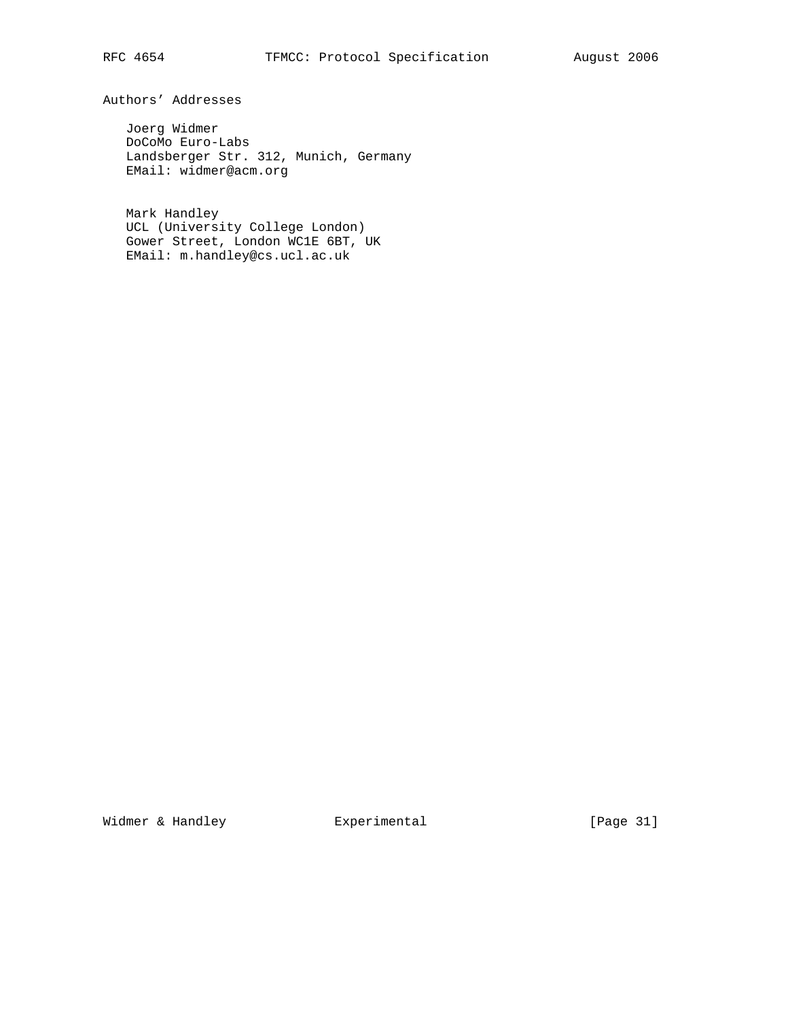Authors' Addresses

 Joerg Widmer DoCoMo Euro-Labs Landsberger Str. 312, Munich, Germany EMail: widmer@acm.org

 Mark Handley UCL (University College London) Gower Street, London WC1E 6BT, UK EMail: m.handley@cs.ucl.ac.uk